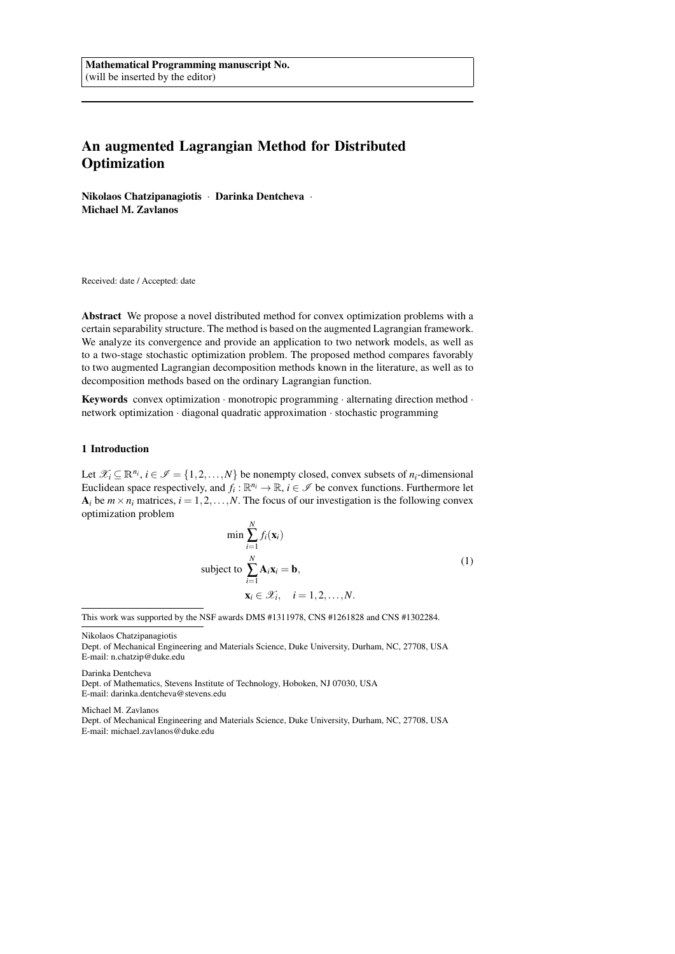# An augmented Lagrangian Method for Distributed **Optimization**

Nikolaos Chatzipanagiotis · Darinka Dentcheva · Michael M. Zavlanos

Received: date / Accepted: date

Abstract We propose a novel distributed method for convex optimization problems with a certain separability structure. The method is based on the augmented Lagrangian framework. We analyze its convergence and provide an application to two network models, as well as to a two-stage stochastic optimization problem. The proposed method compares favorably to two augmented Lagrangian decomposition methods known in the literature, as well as to decomposition methods based on the ordinary Lagrangian function.

**Keywords** convex optimization  $\cdot$  monotropic programming  $\cdot$  alternating direction method  $\cdot$ network optimization · diagonal quadratic approximation · stochastic programming

## 1 Introduction

Let  $\mathcal{X}_i \subseteq \mathbb{R}^{n_i}$ ,  $i \in \mathcal{I} = \{1, 2, ..., N\}$  be nonempty closed, convex subsets of  $n_i$ -dimensional Euclidean space respectively, and  $f_i : \mathbb{R}^{n_i} \to \mathbb{R}$ ,  $i \in \mathcal{I}$  be convex functions. Furthermore let  $A_i$  be  $m \times n_i$  matrices,  $i = 1, 2, ..., N$ . The focus of our investigation is the following convex optimization problem

$$
\min \sum_{i=1}^{N} f_i(\mathbf{x}_i)
$$
  
subject to 
$$
\sum_{i=1}^{N} \mathbf{A}_i \mathbf{x}_i = \mathbf{b},
$$

$$
\mathbf{x}_i \in \mathcal{X}_i, \quad i = 1, 2, ..., N.
$$
 (1)

This work was supported by the NSF awards DMS #1311978, CNS #1261828 and CNS #1302284.

Nikolaos Chatzipanagiotis

Darinka Dentcheva

Dept. of Mathematics, Stevens Institute of Technology, Hoboken, NJ 07030, USA E-mail: darinka.dentcheva@stevens.edu

Michael M. Zavlanos

Dept. of Mechanical Engineering and Materials Science, Duke University, Durham, NC, 27708, USA E-mail: michael.zavlanos@duke.edu

Dept. of Mechanical Engineering and Materials Science, Duke University, Durham, NC, 27708, USA E-mail: n.chatzip@duke.edu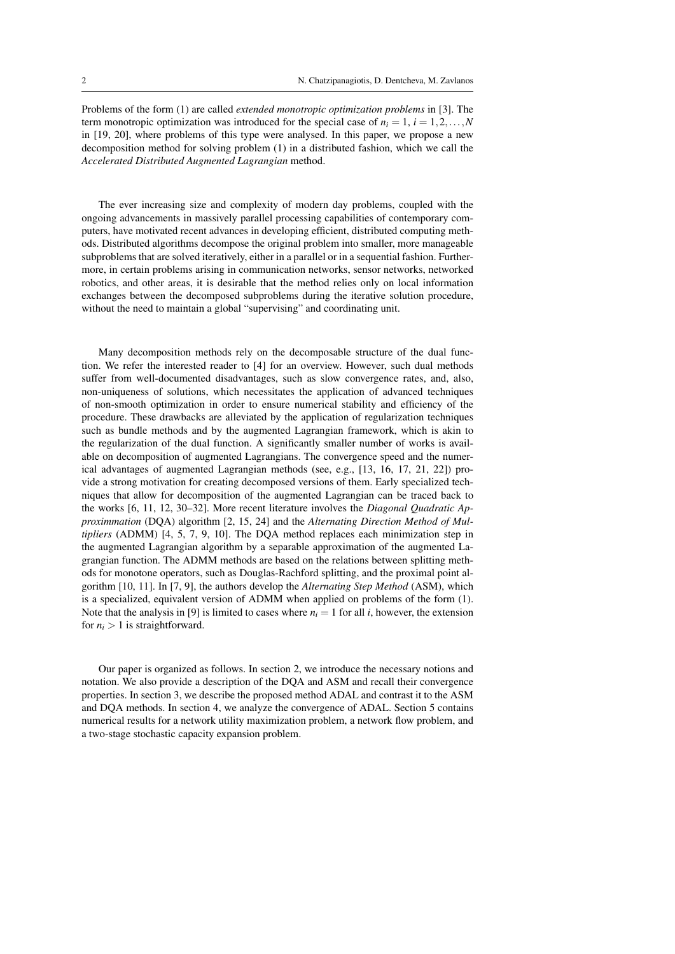Problems of the form (1) are called *extended monotropic optimization problems* in [3]. The term monotropic optimization was introduced for the special case of  $n<sub>i</sub> = 1, i = 1,2,...,N$ in [19, 20], where problems of this type were analysed. In this paper, we propose a new decomposition method for solving problem (1) in a distributed fashion, which we call the *Accelerated Distributed Augmented Lagrangian* method.

The ever increasing size and complexity of modern day problems, coupled with the ongoing advancements in massively parallel processing capabilities of contemporary computers, have motivated recent advances in developing efficient, distributed computing methods. Distributed algorithms decompose the original problem into smaller, more manageable subproblems that are solved iteratively, either in a parallel or in a sequential fashion. Furthermore, in certain problems arising in communication networks, sensor networks, networked robotics, and other areas, it is desirable that the method relies only on local information exchanges between the decomposed subproblems during the iterative solution procedure, without the need to maintain a global "supervising" and coordinating unit.

Many decomposition methods rely on the decomposable structure of the dual function. We refer the interested reader to [4] for an overview. However, such dual methods suffer from well-documented disadvantages, such as slow convergence rates, and, also, non-uniqueness of solutions, which necessitates the application of advanced techniques of non-smooth optimization in order to ensure numerical stability and efficiency of the procedure. These drawbacks are alleviated by the application of regularization techniques such as bundle methods and by the augmented Lagrangian framework, which is akin to the regularization of the dual function. A significantly smaller number of works is available on decomposition of augmented Lagrangians. The convergence speed and the numerical advantages of augmented Lagrangian methods (see, e.g., [13, 16, 17, 21, 22]) provide a strong motivation for creating decomposed versions of them. Early specialized techniques that allow for decomposition of the augmented Lagrangian can be traced back to the works [6, 11, 12, 30–32]. More recent literature involves the *Diagonal Quadratic Approximmation* (DQA) algorithm [2, 15, 24] and the *Alternating Direction Method of Multipliers* (ADMM) [4, 5, 7, 9, 10]. The DQA method replaces each minimization step in the augmented Lagrangian algorithm by a separable approximation of the augmented Lagrangian function. The ADMM methods are based on the relations between splitting methods for monotone operators, such as Douglas-Rachford splitting, and the proximal point algorithm [10, 11]. In [7, 9], the authors develop the *Alternating Step Method* (ASM), which is a specialized, equivalent version of ADMM when applied on problems of the form (1). Note that the analysis in [9] is limited to cases where  $n<sub>i</sub> = 1$  for all *i*, however, the extension for  $n_i > 1$  is straightforward.

Our paper is organized as follows. In section 2, we introduce the necessary notions and notation. We also provide a description of the DQA and ASM and recall their convergence properties. In section 3, we describe the proposed method ADAL and contrast it to the ASM and DQA methods. In section 4, we analyze the convergence of ADAL. Section 5 contains numerical results for a network utility maximization problem, a network flow problem, and a two-stage stochastic capacity expansion problem.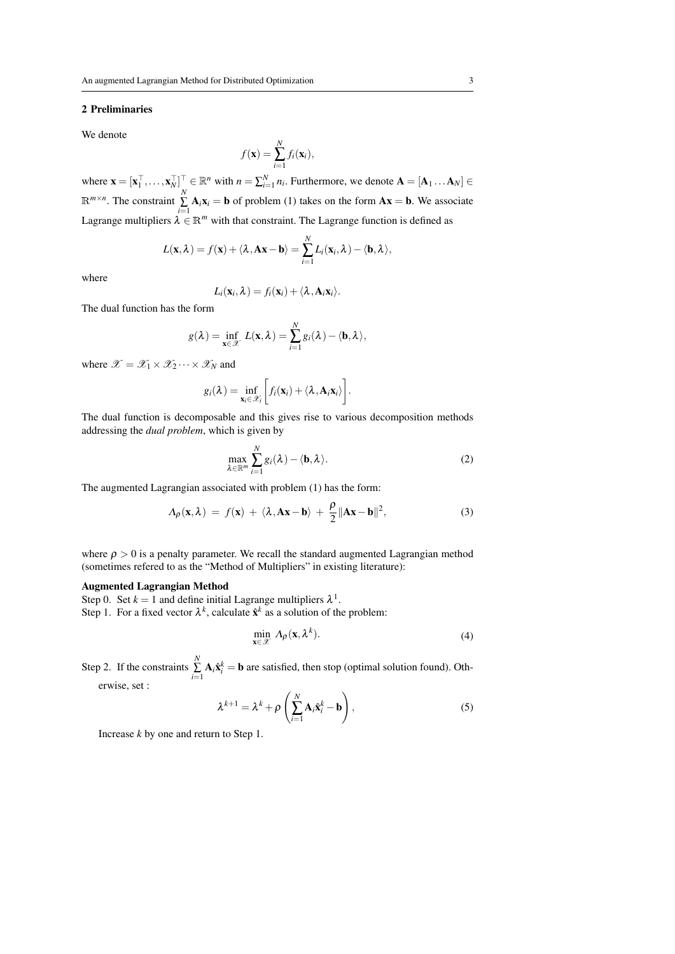#### 2 Preliminaries

We denote

$$
f(\mathbf{x}) = \sum_{i=1}^{N} f_i(\mathbf{x}_i),
$$

where  $\mathbf{x} = [\mathbf{x}_1^\top, \dots, \mathbf{x}_N^\top]^\top \in \mathbb{R}^n$  with  $n = \sum_{i=1}^N n_i$ . Furthermore, we denote  $\mathbf{A} = [\mathbf{A}_1 \dots \mathbf{A}_N] \in$  $\mathbb{R}^{m \times n}$ . The constraint  $\sum_{i=1}^{N} \mathbf{A}_i \mathbf{x}_i = \mathbf{b}$  of problem (1) takes on the form  $\mathbf{A}\mathbf{x} = \mathbf{b}$ . We associate Lagrange multipliers  $\lambda \in \mathbb{R}^m$  with that constraint. The Lagrange function is defined as

$$
L(\mathbf{x}, \lambda) = f(\mathbf{x}) + \langle \lambda, \mathbf{A}\mathbf{x} - \mathbf{b} \rangle = \sum_{i=1}^N L_i(\mathbf{x}_i, \lambda) - \langle \mathbf{b}, \lambda \rangle,
$$

where

$$
L_i(\mathbf{x}_i,\lambda)=f_i(\mathbf{x}_i)+\langle \lambda,\mathbf{A}_i\mathbf{x}_i\rangle.
$$

The dual function has the form

$$
g(\lambda) = \inf_{\mathbf{x} \in \mathcal{X}} L(\mathbf{x}, \lambda) = \sum_{i=1}^N g_i(\lambda) - \langle \mathbf{b}, \lambda \rangle,
$$

where  $\mathscr{X} = \mathscr{X}_1 \times \mathscr{X}_2 \cdots \times \mathscr{X}_N$  and

$$
g_i(\lambda) = \inf_{\mathbf{x}_i \in \mathscr{X}_i} \bigg[ f_i(\mathbf{x}_i) + \langle \lambda, \mathbf{A}_i \mathbf{x}_i \rangle \bigg].
$$

The dual function is decomposable and this gives rise to various decomposition methods addressing the *dual problem*, which is given by

$$
\max_{\lambda \in \mathbb{R}^m} \sum_{i=1}^N g_i(\lambda) - \langle \mathbf{b}, \lambda \rangle.
$$
 (2)

The augmented Lagrangian associated with problem (1) has the form:

$$
\Lambda_{\rho}(\mathbf{x}, \lambda) = f(\mathbf{x}) + \langle \lambda, \mathbf{A}\mathbf{x} - \mathbf{b} \rangle + \frac{\rho}{2} ||\mathbf{A}\mathbf{x} - \mathbf{b}||^2, \tag{3}
$$

where  $\rho > 0$  is a penalty parameter. We recall the standard augmented Lagrangian method (sometimes refered to as the "Method of Multipliers" in existing literature):

## Augmented Lagrangian Method

Step 0. Set  $k = 1$  and define initial Lagrange multipliers  $\lambda^1$ . Step 1. For a fixed vector  $\lambda^k$ , calculate  $\hat{\mathbf{x}}^k$  as a solution of the problem:

$$
\min_{\mathbf{x} \in \mathcal{X}} \Lambda_{\rho}(\mathbf{x}, \lambda^{k}). \tag{4}
$$

Step 2. If the constraints  $\sum_{i=1}^{N} \mathbf{A}_i \hat{\mathbf{x}}_i^k = \mathbf{b}$  are satisfied, then stop (optimal solution found). Oth-

erwise, set :

$$
\lambda^{k+1} = \lambda^k + \rho \left( \sum_{i=1}^N \mathbf{A}_i \hat{\mathbf{x}}_i^k - \mathbf{b} \right),\tag{5}
$$

Increase *k* by one and return to Step 1.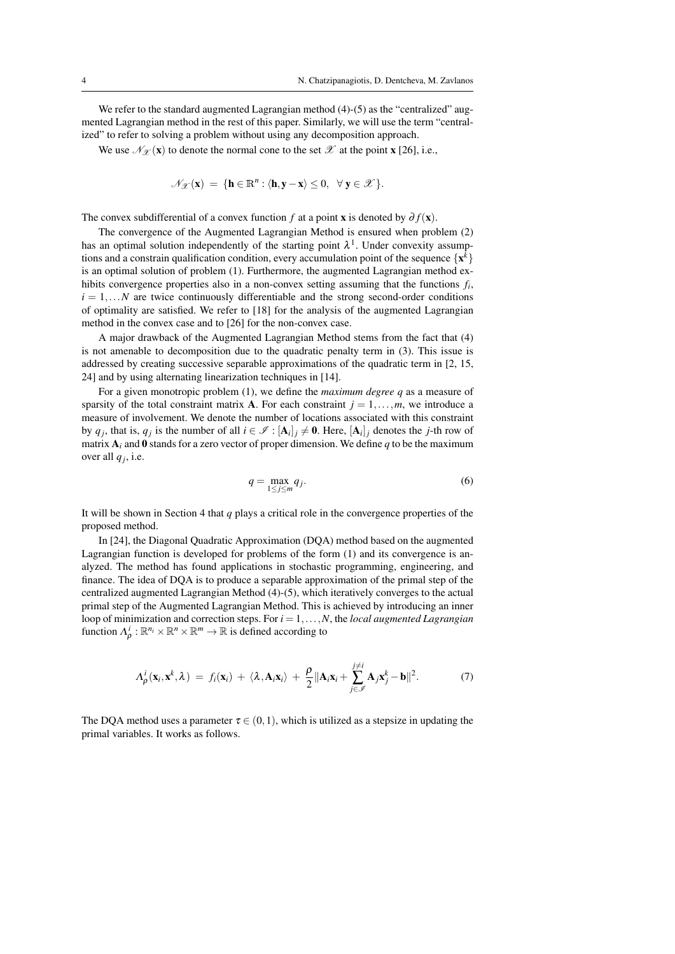We refer to the standard augmented Lagrangian method  $(4)-(5)$  as the "centralized" augmented Lagrangian method in the rest of this paper. Similarly, we will use the term "centralized" to refer to solving a problem without using any decomposition approach.

We use  $\mathcal{N}_{\mathcal{X}}(\mathbf{x})$  to denote the normal cone to the set  $\mathcal{X}$  at the point **x** [26], i.e.,

$$
\mathscr{N}_{\mathscr{X}}(\mathbf{x}) \ = \ \{\mathbf{h} \in \mathbb{R}^n : \langle \mathbf{h}, \mathbf{y} - \mathbf{x} \rangle \leq 0, \ \forall \ \mathbf{y} \in \mathscr{X}\}.
$$

The convex subdifferential of a convex function *f* at a point **x** is denoted by  $\partial f(\mathbf{x})$ .

The convergence of the Augmented Lagrangian Method is ensured when problem (2) has an optimal solution independently of the starting point  $\lambda^1$ . Under convexity assumptions and a constrain qualification condition, every accumulation point of the sequence  $\{x^k\}$ is an optimal solution of problem (1). Furthermore, the augmented Lagrangian method exhibits convergence properties also in a non-convex setting assuming that the functions *f<sup>i</sup>* ,  $i = 1, \ldots N$  are twice continuously differentiable and the strong second-order conditions of optimality are satisfied. We refer to [18] for the analysis of the augmented Lagrangian method in the convex case and to [26] for the non-convex case.

A major drawback of the Augmented Lagrangian Method stems from the fact that (4) is not amenable to decomposition due to the quadratic penalty term in (3). This issue is addressed by creating successive separable approximations of the quadratic term in [2, 15, 24] and by using alternating linearization techniques in [14].

For a given monotropic problem (1), we define the *maximum degree q* as a measure of sparsity of the total constraint matrix **A**. For each constraint  $j = 1, \ldots, m$ , we introduce a measure of involvement. We denote the number of locations associated with this constraint by  $q_j$ , that is,  $q_j$  is the number of all  $i \in \mathcal{I} : [\mathbf{A}_i]_j \neq \mathbf{0}$ . Here,  $[\mathbf{A}_i]_j$  denotes the *j*-th row of matrix  $A_i$  and 0 stands for a zero vector of proper dimension. We define *q* to be the maximum over all  $q_j$ , i.e.

$$
q = \max_{1 \le j \le m} q_j. \tag{6}
$$

It will be shown in Section 4 that *q* plays a critical role in the convergence properties of the proposed method.

In [24], the Diagonal Quadratic Approximation (DQA) method based on the augmented Lagrangian function is developed for problems of the form (1) and its convergence is analyzed. The method has found applications in stochastic programming, engineering, and finance. The idea of DQA is to produce a separable approximation of the primal step of the centralized augmented Lagrangian Method (4)-(5), which iteratively converges to the actual primal step of the Augmented Lagrangian Method. This is achieved by introducing an inner loop of minimization and correction steps. For *i* = 1,...,*N*, the *local augmented Lagrangian* function  $\Lambda_{\rho}^{i}: \mathbb{R}^{n_i} \times \mathbb{R}^n \times \mathbb{R}^m \to \mathbb{R}$  is defined according to

$$
\Lambda_{\rho}^{i}(\mathbf{x}_{i}, \mathbf{x}^{k}, \lambda) = f_{i}(\mathbf{x}_{i}) + \langle \lambda, \mathbf{A}_{i} \mathbf{x}_{i} \rangle + \frac{\rho}{2} \|\mathbf{A}_{i} \mathbf{x}_{i} + \sum_{j \in \mathscr{I}}^{j \neq i} \mathbf{A}_{j} \mathbf{x}_{j}^{k} - \mathbf{b} \|^{2}.
$$
 (7)

The DQA method uses a parameter  $\tau \in (0,1)$ , which is utilized as a stepsize in updating the primal variables. It works as follows.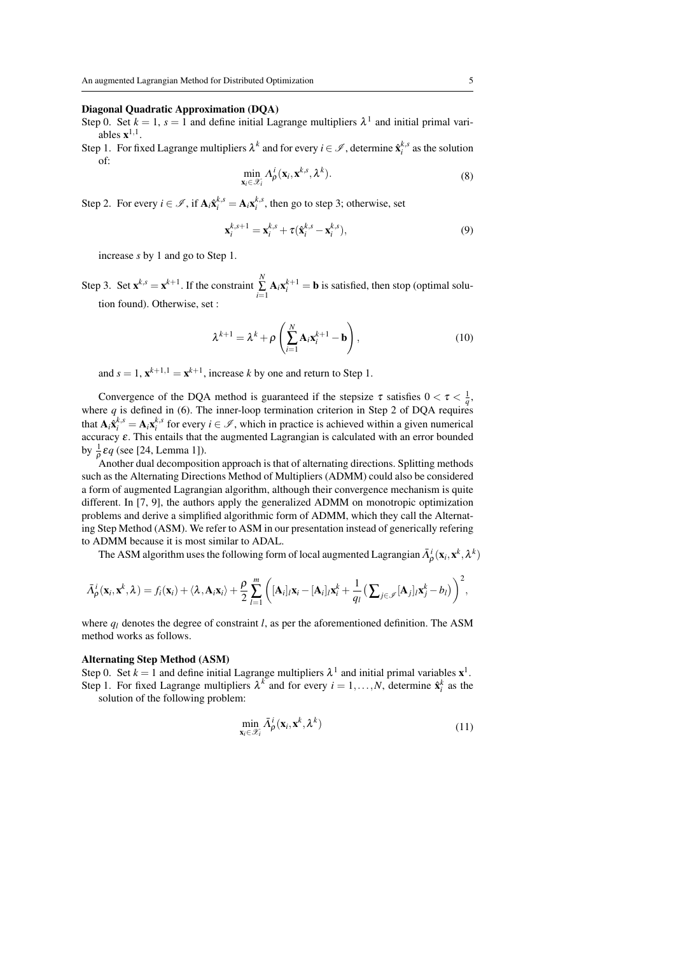#### Diagonal Quadratic Approximation (DQA)

- Step 0. Set  $k = 1$ ,  $s = 1$  and define initial Lagrange multipliers  $\lambda^1$  and initial primal variables  $\mathbf{x}^{1,1}$ .
- Step 1. For fixed Lagrange multipliers  $\lambda^k$  and for every  $i \in \mathcal{I}$ , determine  $\hat{\mathbf{x}}_i^{k,s}$  as the solution of:

$$
\min_{\mathbf{x}_i \in \mathcal{X}_i} \Lambda_\rho^i(\mathbf{x}_i, \mathbf{x}^{k,s}, \lambda^k).
$$
\n(8)

Step 2. For every  $i \in \mathcal{I}$ , if  $\mathbf{A}_i \hat{\mathbf{x}}_i^{k,s} = \mathbf{A}_i \mathbf{x}_i^{k,s}$ , then go to step 3; otherwise, set

$$
\mathbf{x}_i^{k,s+1} = \mathbf{x}_i^{k,s} + \tau (\hat{\mathbf{x}}_i^{k,s} - \mathbf{x}_i^{k,s}),
$$
\n(9)

increase *s* by 1 and go to Step 1.

Step 3. Set  $\mathbf{x}^{k,s} = \mathbf{x}^{k+1}$ . If the constraint  $\sum_{i=1}^{N} \mathbf{A}_i \mathbf{x}_i^{k+1} = \mathbf{b}$  is satisfied, then stop (optimal solution found). Otherwise, set :

$$
\lambda^{k+1} = \lambda^k + \rho \left( \sum_{i=1}^N \mathbf{A}_i \mathbf{x}_i^{k+1} - \mathbf{b} \right),\tag{10}
$$

and  $s = 1$ ,  $\mathbf{x}^{k+1,1} = \mathbf{x}^{k+1}$ , increase *k* by one and return to Step 1.

Convergence of the DQA method is guaranteed if the stepsize  $\tau$  satisfies  $0 < \tau < \frac{1}{q}$ , where  $q$  is defined in (6). The inner-loop termination criterion in Step 2 of DQA requires that  $A_i \hat{x}_i^{k,s} = A_i x_i^{k,s}$  for every  $i \in \mathcal{I}$ , which in practice is achieved within a given numerical accuracy ε. This entails that the augmented Lagrangian is calculated with an error bounded by  $\frac{1}{\rho} \varepsilon q$  (see [24, Lemma 1]).

Another dual decomposition approach is that of alternating directions. Splitting methods such as the Alternating Directions Method of Multipliers (ADMM) could also be considered a form of augmented Lagrangian algorithm, although their convergence mechanism is quite different. In [7, 9], the authors apply the generalized ADMM on monotropic optimization problems and derive a simplified algorithmic form of ADMM, which they call the Alternating Step Method (ASM). We refer to ASM in our presentation instead of generically refering to ADMM because it is most similar to ADAL.

The ASM algorithm uses the following form of local augmented Lagrangian  $\bar{\Lambda}^i_\rho(\mathbf{x}_i, \mathbf{x}^k, \lambda^k)$ 

$$
\bar{\Lambda}_{\rho}^{i}(\mathbf{x}_{i},\mathbf{x}^{k},\lambda)=f_{i}(\mathbf{x}_{i})+\langle\lambda,\mathbf{A}_{i}\mathbf{x}_{i}\rangle+\frac{\rho}{2}\sum_{l=1}^{m}\bigg([\mathbf{A}_{i}]_{l}\mathbf{x}_{i}-[\mathbf{A}_{i}]_{l}\mathbf{x}_{i}^{k}+\frac{1}{q_{l}}\big(\sum_{j\in\mathscr{I}}[\mathbf{A}_{j}]_{l}\mathbf{x}_{j}^{k}-b_{l}\big)\bigg)^{2},
$$

where  $q_l$  denotes the degree of constraint *l*, as per the aforementioned definition. The ASM method works as follows.

#### Alternating Step Method (ASM)

Step 0. Set  $k = 1$  and define initial Lagrange multipliers  $\lambda^1$  and initial primal variables  $\mathbf{x}^1$ . Step 1. For fixed Lagrange multipliers  $\lambda^k$  and for every  $i = 1, ..., N$ , determine  $\hat{\mathbf{x}}_i^k$  as the

solution of the following problem:

$$
\min_{\mathbf{x}_i \in \mathcal{X}_i} \bar{\Lambda}^i_{\rho}(\mathbf{x}_i, \mathbf{x}^k, \lambda^k) \tag{11}
$$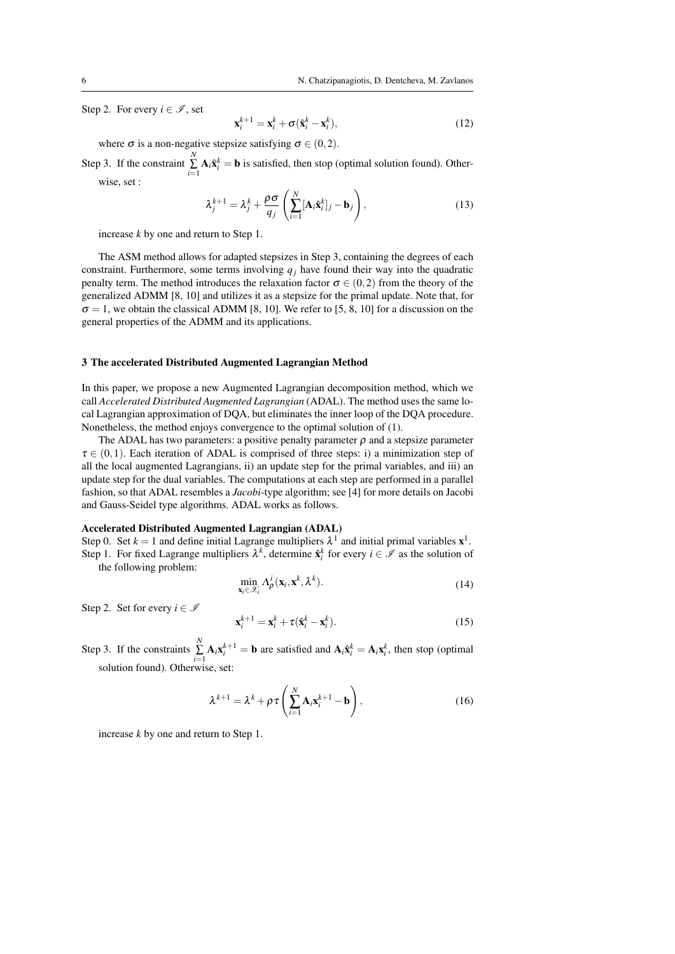Step 2. For every  $i \in \mathcal{I}$ , set

$$
\mathbf{x}_i^{k+1} = \mathbf{x}_i^k + \sigma(\hat{\mathbf{x}}_i^k - \mathbf{x}_i^k),
$$
 (12)

where  $\sigma$  is a non-negative stepsize satisfying  $\sigma \in (0,2)$ .

Step 3. If the constraint  $\sum_{i=1}^{N} \mathbf{A}_i \hat{\mathbf{x}}_i^k = \mathbf{b}$  is satisfied, then stop (optimal solution found). Otherwise, set :

$$
\lambda_j^{k+1} = \lambda_j^k + \frac{\rho \sigma}{q_j} \left( \sum_{i=1}^N [\mathbf{A}_i \hat{\mathbf{x}}_i^k]_{j} - \mathbf{b}_j \right),\tag{13}
$$

increase *k* by one and return to Step 1.

The ASM method allows for adapted stepsizes in Step 3, containing the degrees of each constraint. Furthermore, some terms involving  $q_i$  have found their way into the quadratic penalty term. The method introduces the relaxation factor  $\sigma \in (0,2)$  from the theory of the generalized ADMM [8, 10] and utilizes it as a stepsize for the primal update. Note that, for  $\sigma = 1$ , we obtain the classical ADMM [8, 10]. We refer to [5, 8, 10] for a discussion on the general properties of the ADMM and its applications.

## 3 The accelerated Distributed Augmented Lagrangian Method

In this paper, we propose a new Augmented Lagrangian decomposition method, which we call *Accelerated Distributed Augmented Lagrangian* (ADAL). The method uses the same local Lagrangian approximation of DQA, but eliminates the inner loop of the DQA procedure. Nonetheless, the method enjoys convergence to the optimal solution of (1).

The ADAL has two parameters: a positive penalty parameter  $\rho$  and a stepsize parameter  $\tau \in (0,1)$ . Each iteration of ADAL is comprised of three steps: i) a minimization step of all the local augmented Lagrangians, ii) an update step for the primal variables, and iii) an update step for the dual variables. The computations at each step are performed in a parallel fashion, so that ADAL resembles a *Jacobi*-type algorithm; see [4] for more details on Jacobi and Gauss-Seidel type algorithms. ADAL works as follows.

## Accelerated Distributed Augmented Lagrangian (ADAL)

Step 0. Set  $k = 1$  and define initial Lagrange multipliers  $\lambda^1$  and initial primal variables  $\mathbf{x}^1$ . Step 1. For fixed Lagrange multipliers  $\lambda^k$ , determine  $\hat{\mathbf{x}}_i^k$  for every  $i \in \mathcal{I}$  as the solution of the following problem:

$$
\min_{\mathbf{x}_i \in \mathcal{X}_i} \Lambda_\rho^i(\mathbf{x}_i, \mathbf{x}^k, \lambda^k).
$$
\n(14)

Step 2. Set for every  $i \in \mathcal{I}$ 

$$
\mathbf{x}_i^{k+1} = \mathbf{x}_i^k + \tau (\hat{\mathbf{x}}_i^k - \mathbf{x}_i^k). \tag{15}
$$

Step 3. If the constraints  $\sum_{i=1}^{N} \mathbf{A}_i \mathbf{x}_i^{k+1} = \mathbf{b}$  are satisfied and  $\mathbf{A}_i \hat{\mathbf{x}}_i^k = \mathbf{A}_i \mathbf{x}_i^k$ , then stop (optimal solution found). Otherwise, set:

$$
\lambda^{k+1} = \lambda^k + \rho \tau \left( \sum_{i=1}^N \mathbf{A}_i \mathbf{x}_i^{k+1} - \mathbf{b} \right),\tag{16}
$$

increase *k* by one and return to Step 1.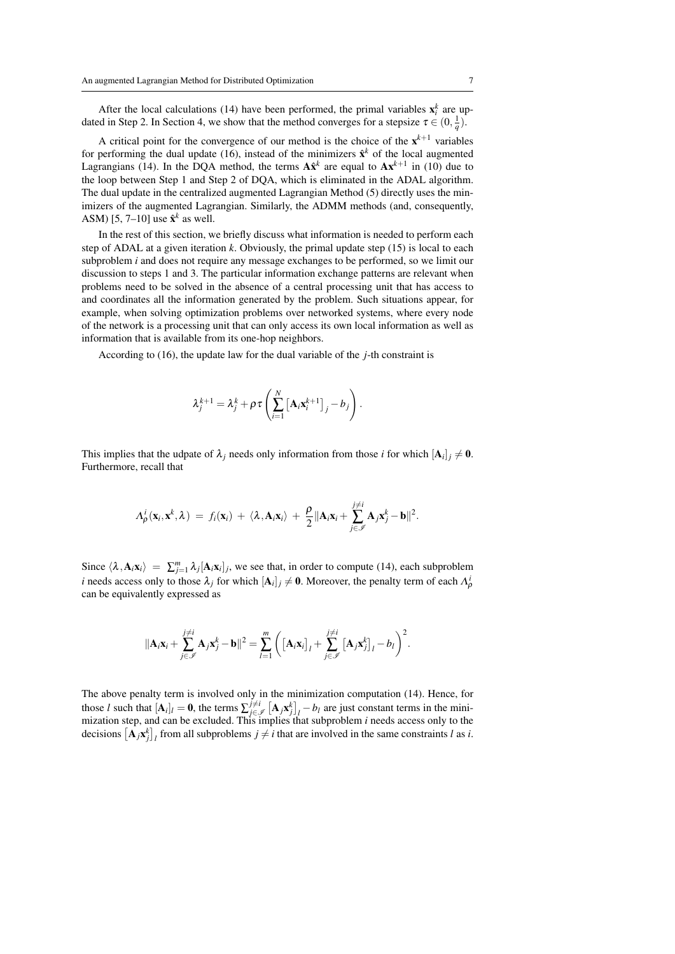After the local calculations (14) have been performed, the primal variables  $\mathbf{x}_i^k$  are updated in Step 2. In Section 4, we show that the method converges for a stepsize  $\tau \in (0, \frac{1}{q})$ .

A critical point for the convergence of our method is the choice of the  $x^{k+1}$  variables for performing the dual update (16), instead of the minimizers  $\hat{\mathbf{x}}^k$  of the local augmented Lagrangians (14). In the DQA method, the terms  $A\hat{x}^k$  are equal to  $A x^{k+1}$  in (10) due to the loop between Step 1 and Step 2 of DQA, which is eliminated in the ADAL algorithm. The dual update in the centralized augmented Lagrangian Method (5) directly uses the minimizers of the augmented Lagrangian. Similarly, the ADMM methods (and, consequently, ASM) [5, 7–10] use  $\hat{\mathbf{x}}^k$  as well.

In the rest of this section, we briefly discuss what information is needed to perform each step of ADAL at a given iteration *k*. Obviously, the primal update step (15) is local to each subproblem *i* and does not require any message exchanges to be performed, so we limit our discussion to steps 1 and 3. The particular information exchange patterns are relevant when problems need to be solved in the absence of a central processing unit that has access to and coordinates all the information generated by the problem. Such situations appear, for example, when solving optimization problems over networked systems, where every node of the network is a processing unit that can only access its own local information as well as information that is available from its one-hop neighbors.

According to (16), the update law for the dual variable of the *j*-th constraint is

$$
\lambda_j^{k+1} = \lambda_j^k + \rho \tau \left( \sum_{i=1}^N \left[ \mathbf{A}_i \mathbf{x}_i^{k+1} \right]_j - b_j \right).
$$

This implies that the udpate of  $\lambda_j$  needs only information from those *i* for which  $[A_i]_j \neq 0$ . Furthermore, recall that

$$
\Lambda_{\rho}^{i}(\mathbf{x}_{i}, \mathbf{x}^{k}, \lambda) = f_{i}(\mathbf{x}_{i}) + \langle \lambda, \mathbf{A}_{i} \mathbf{x}_{i} \rangle + \frac{\rho}{2} \|\mathbf{A}_{i} \mathbf{x}_{i} + \sum_{j \in \mathscr{I}}^{j \neq i} \mathbf{A}_{j} \mathbf{x}_{j}^{k} - \mathbf{b} \|^{2}.
$$

Since  $\langle \lambda, A_i x_i \rangle = \sum_{j=1}^m \lambda_j [A_i x_i]_j$ , we see that, in order to compute (14), each subproblem *i* needs access only to those  $\lambda_j$  for which  $[\mathbf{A}_i]_j \neq \mathbf{0}$ . Moreover, the penalty term of each  $\Lambda_\rho^i$ can be equivalently expressed as

$$
\|\mathbf{A}_i\mathbf{x}_i+\sum_{j\in\mathscr{I}}^{j\neq i}\mathbf{A}_j\mathbf{x}_j^k-\mathbf{b}\|^2=\sum_{l=1}^m\bigg(\big[\mathbf{A}_i\mathbf{x}_l\big]_l+\sum_{j\in\mathscr{I}}^{j\neq i}\big[\mathbf{A}_j\mathbf{x}_j^k\big]_l-b_l\bigg)^2.
$$

The above penalty term is involved only in the minimization computation (14). Hence, for those *l* such that  $[\mathbf{A}_i]_l = \mathbf{0}$ , the terms  $\sum_{j \in \mathcal{J}}^{j \neq i} [\mathbf{A}_j \mathbf{x}_j^k]_l - b_l$  are just constant terms in the minimization step, and can be excluded. This implies that subproblem *i* needs access only to the decisions  $[\mathbf{A}_j \mathbf{x}_j^k]_l$  from all subproblems  $j \neq i$  that are involved in the same constraints *l* as *i*.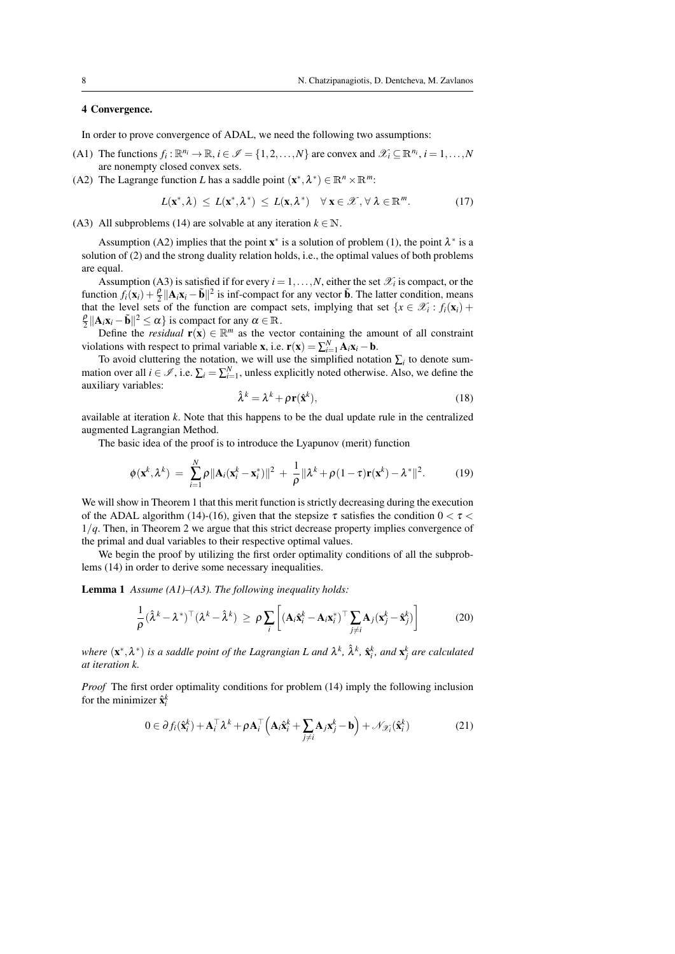## 4 Convergence.

In order to prove convergence of ADAL, we need the following two assumptions:

- (A1) The functions  $f_i: \mathbb{R}^{n_i} \to \mathbb{R}$ ,  $i \in \mathcal{I} = \{1, 2, ..., N\}$  are convex and  $\mathcal{X}_i \subseteq \mathbb{R}^{n_i}$ ,  $i = 1, ..., N$ are nonempty closed convex sets.
- (A2) The Lagrange function *L* has a saddle point  $(\mathbf{x}^*, \lambda^*) \in \mathbb{R}^n \times \mathbb{R}^m$ :

$$
L(\mathbf{x}^*,\lambda) \le L(\mathbf{x}^*,\lambda^*) \le L(\mathbf{x},\lambda^*) \quad \forall \mathbf{x} \in \mathcal{X}, \forall \lambda \in \mathbb{R}^m. \tag{17}
$$

(A3) All subproblems (14) are solvable at any iteration  $k \in \mathbb{N}$ .

Assumption (A2) implies that the point  $\mathbf{x}^*$  is a solution of problem (1), the point  $\lambda^*$  is a solution of (2) and the strong duality relation holds, i.e., the optimal values of both problems are equal.

Assumption (A3) is satisfied if for every  $i = 1, ..., N$ , either the set  $\mathcal{X}_i$  is compact, or the function  $f_i(\mathbf{x}_i) + \frac{\rho}{2} ||\mathbf{A}_i \mathbf{x}_i - \tilde{\mathbf{b}}||^2$  is inf-compact for any vector  $\tilde{\mathbf{b}}$ . The latter condition, means that the level sets of the function are compact sets, implying that set  $\{x \in \mathcal{X}_i : f_i(\mathbf{x}_i) +$  $\frac{\rho}{2} \|\mathbf{A}_i \mathbf{x}_i - \tilde{\mathbf{b}}\|^2 \le \alpha$  } is compact for any  $\alpha \in \mathbb{R}$ .

Define the *residual*  $\mathbf{r}(\mathbf{x}) \in \mathbb{R}^m$  as the vector containing the amount of all constraint violations with respect to primal variable **x**, i.e.  $\mathbf{r}(\mathbf{x}) = \sum_{i=1}^{N} \mathbf{A}_i \mathbf{x}_i - \mathbf{b}$ .

To avoid cluttering the notation, we will use the simplified notation  $\sum_i$  to denote summation over all  $i \in \mathcal{I}$ , i.e.  $\sum_i = \sum_{i=1}^N$ , unless explicitly noted otherwise. Also, we define the auxiliary variables:

$$
\hat{\lambda}^k = \lambda^k + \rho \mathbf{r}(\hat{\mathbf{x}}^k),\tag{18}
$$

available at iteration *k*. Note that this happens to be the dual update rule in the centralized augmented Lagrangian Method.

The basic idea of the proof is to introduce the Lyapunov (merit) function

$$
\phi(\mathbf{x}^k, \lambda^k) = \sum_{i=1}^N \rho ||\mathbf{A}_i(\mathbf{x}_i^k - \mathbf{x}_i^*)||^2 + \frac{1}{\rho} ||\lambda^k + \rho(1-\tau)\mathbf{r}(\mathbf{x}^k) - \lambda^*||^2.
$$
 (19)

We will show in Theorem 1 that this merit function is strictly decreasing during the execution of the ADAL algorithm (14)-(16), given that the stepsize  $\tau$  satisfies the condition  $0 < \tau <$ 1/*q*. Then, in Theorem 2 we argue that this strict decrease property implies convergence of the primal and dual variables to their respective optimal values.

We begin the proof by utilizing the first order optimality conditions of all the subproblems (14) in order to derive some necessary inequalities.

Lemma 1 *Assume (A1)–(A3). The following inequality holds:*

$$
\frac{1}{\rho}(\hat{\lambda}^k - \lambda^*)^\top (\lambda^k - \hat{\lambda}^k) \ge \rho \sum_i \left[ (\mathbf{A}_i \hat{\mathbf{x}}_i^k - \mathbf{A}_i \mathbf{x}_i^*)^\top \sum_{j \neq i} \mathbf{A}_j (\mathbf{x}_j^k - \hat{\mathbf{x}}_j^k) \right]
$$
(20)

where  $(x^*, \lambda^*)$  is a saddle point of the Lagrangian L and  $\lambda^k$ ,  $\hat{\lambda}^k$ ,  $\hat{x}^k_i$ , and  $x^k_j$  are calculated *at iteration k.*

*Proof* The first order optimality conditions for problem (14) imply the following inclusion for the minimizer  $\hat{\mathbf{x}}_i^k$ 

$$
0 \in \partial f_i(\hat{\mathbf{x}}_i^k) + \mathbf{A}_i^{\top} \lambda^k + \rho \mathbf{A}_i^{\top} \left( \mathbf{A}_i \hat{\mathbf{x}}_i^k + \sum_{j \neq i} \mathbf{A}_j \mathbf{x}_j^k - \mathbf{b} \right) + \mathcal{N}_{\mathcal{X}_i}(\hat{\mathbf{x}}_i^k)
$$
(21)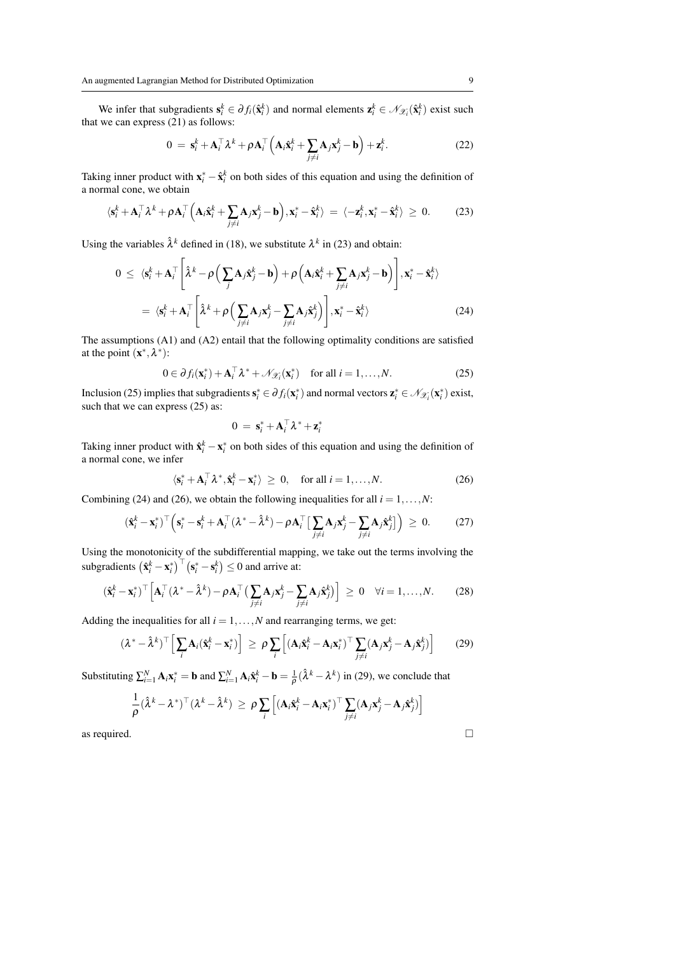We infer that subgradients  $s_i^k \in \partial f_i(\hat{x}_i^k)$  and normal elements  $z_i^k \in \mathcal{N}_{\mathcal{X}_i}(\hat{x}_i^k)$  exist such that we can express  $(21)$  as follows:

$$
0 = \mathbf{s}_i^k + \mathbf{A}_i^\top \lambda^k + \rho \mathbf{A}_i^\top \left( \mathbf{A}_i \hat{\mathbf{x}}_i^k + \sum_{j \neq i} \mathbf{A}_j \mathbf{x}_j^k - \mathbf{b} \right) + \mathbf{z}_i^k.
$$
 (22)

Taking inner product with  $\mathbf{x}_{i}^{*} - \hat{\mathbf{x}}_{i}^{k}$  on both sides of this equation and using the definition of a normal cone, we obtain

$$
\langle \mathbf{s}_i^k + \mathbf{A}_i^\top \boldsymbol{\lambda}^k + \rho \mathbf{A}_i^\top \Big( \mathbf{A}_i \hat{\mathbf{x}}_i^k + \sum_{j \neq i} \mathbf{A}_j \mathbf{x}_j^k - \mathbf{b} \Big), \mathbf{x}_i^* - \hat{\mathbf{x}}_i^k \rangle = \langle -\mathbf{z}_i^k, \mathbf{x}_i^* - \hat{\mathbf{x}}_i^k \rangle \ge 0. \tag{23}
$$

Using the variables  $\hat{\lambda}^k$  defined in (18), we substitute  $\lambda^k$  in (23) and obtain:

$$
0 \leq \langle \mathbf{s}_i^k + \mathbf{A}_i^\top \left[ \hat{\lambda}^k - \rho \left( \sum_j \mathbf{A}_j \hat{\mathbf{x}}_j^k - \mathbf{b} \right) + \rho \left( \mathbf{A}_i \hat{\mathbf{x}}_i^k + \sum_{j \neq i} \mathbf{A}_j \mathbf{x}_j^k - \mathbf{b} \right) \right], \mathbf{x}_i^* - \hat{\mathbf{x}}_i^k)
$$
  
= 
$$
\langle \mathbf{s}_i^k + \mathbf{A}_i^\top \left[ \hat{\lambda}^k + \rho \left( \sum_{j \neq i} \mathbf{A}_j \mathbf{x}_j^k - \sum_{j \neq i} \mathbf{A}_j \hat{\mathbf{x}}_j^k \right) \right], \mathbf{x}_i^* - \hat{\mathbf{x}}_i^k \rangle
$$
 (24)

The assumptions (A1) and (A2) entail that the following optimality conditions are satisfied at the point  $(\mathbf{x}^*, \lambda^*)$ :

$$
0 \in \partial f_i(\mathbf{x}_i^*) + \mathbf{A}_i^\top \lambda^* + \mathcal{N}_{\mathcal{X}_i}(\mathbf{x}_i^*) \quad \text{for all } i = 1, \dots, N. \tag{25}
$$

Inclusion (25) implies that subgradients  $s_i^* \in \partial f_i(x_i^*)$  and normal vectors  $z_i^* \in \mathcal{N}_{\mathcal{X}_i}(x_i^*)$  exist, such that we can express  $(25)$  as:

$$
0 = \mathbf{s}_i^* + \mathbf{A}_i^{\top} \lambda^* + \mathbf{z}_i^*
$$

Taking inner product with  $\hat{\mathbf{x}}_i^k - \mathbf{x}_i^*$  on both sides of this equation and using the definition of a normal cone, we infer

$$
\langle \mathbf{s}_i^* + \mathbf{A}_i^\top \lambda^*, \hat{\mathbf{x}}_i^k - \mathbf{x}_i^* \rangle \ge 0, \quad \text{for all } i = 1, \dots, N. \tag{26}
$$

Combining (24) and (26), we obtain the following inequalities for all  $i = 1, \ldots, N$ :

$$
(\hat{\mathbf{x}}_i^k - \mathbf{x}_i^*)^\top \left( \mathbf{s}_i^* - \mathbf{s}_i^k + \mathbf{A}_i^\top (\lambda^* - \hat{\lambda}^k) - \rho \mathbf{A}_i^\top \left[ \sum_{j \neq i} \mathbf{A}_j \mathbf{x}_j^k - \sum_{j \neq i} \mathbf{A}_j \hat{\mathbf{x}}_j^k \right] \right) \geq 0. \tag{27}
$$

Using the monotonicity of the subdifferential mapping, we take out the terms involving the subgradients  $(\hat{\mathbf{x}}_i^k - \mathbf{x}_i^*)^\top (\mathbf{s}_i^* - \mathbf{s}_i^k) \le 0$  and arrive at:

$$
(\hat{\mathbf{x}}_i^k - \mathbf{x}_i^*)^\top \Big[ \mathbf{A}_i^\top (\lambda^* - \hat{\lambda}^k) - \rho \mathbf{A}_i^\top \big( \sum_{j \neq i} \mathbf{A}_j \mathbf{x}_j^k - \sum_{j \neq i} \mathbf{A}_j \hat{\mathbf{x}}_j^k \big) \Big] \geq 0 \quad \forall i = 1, ..., N. \tag{28}
$$

Adding the inequalities for all  $i = 1, \ldots, N$  and rearranging terms, we get:

$$
(\lambda^* - \hat{\lambda}^k)^{\top} \Big[ \sum_i \mathbf{A}_i (\hat{\mathbf{x}}_i^k - \mathbf{x}_i^*) \Big] \ge \rho \sum_i \Big[ (\mathbf{A}_i \hat{\mathbf{x}}_i^k - \mathbf{A}_i \mathbf{x}_i^*)^{\top} \sum_{j \neq i} (\mathbf{A}_j \mathbf{x}_j^k - \mathbf{A}_j \hat{\mathbf{x}}_j^k) \Big] \tag{29}
$$

Substituting  $\sum_{i=1}^{N} \mathbf{A}_i \mathbf{x}_i^* = \mathbf{b}$  and  $\sum_{i=1}^{N} \mathbf{A}_i \hat{\mathbf{x}}_i^k - \mathbf{b} = \frac{1}{\rho} (\hat{\lambda}^k - \lambda^k)$  in (29), we conclude that

$$
\frac{1}{\rho}(\hat{\lambda}^k - \lambda^*)^\top (\lambda^k - \hat{\lambda}^k) \ge \rho \sum_i \left[ (\mathbf{A}_i \hat{\mathbf{x}}_i^k - \mathbf{A}_i \mathbf{x}_i^*)^\top \sum_{j \ne i} (\mathbf{A}_j \mathbf{x}_j^k - \mathbf{A}_j \hat{\mathbf{x}}_j^k) \right]
$$
  
as required.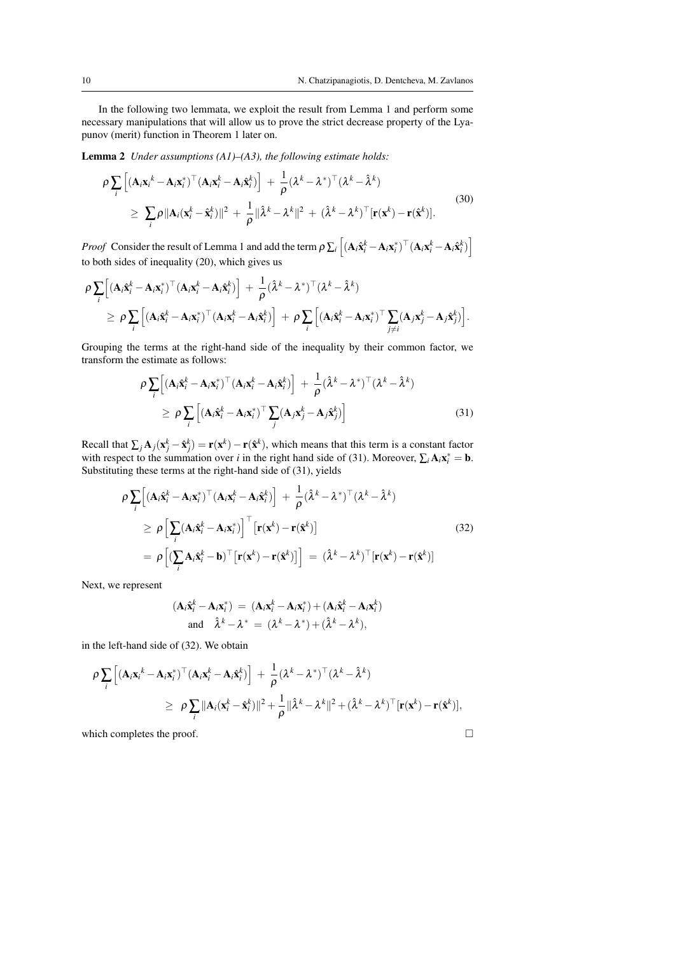In the following two lemmata, we exploit the result from Lemma 1 and perform some necessary manipulations that will allow us to prove the strict decrease property of the Lyapunov (merit) function in Theorem 1 later on.

Lemma 2 *Under assumptions (A1)–(A3), the following estimate holds:*

$$
\rho \sum_{i} \left[ (\mathbf{A}_{i} \mathbf{x}_{i}^{k} - \mathbf{A}_{i} \mathbf{x}_{i}^{*})^{\top} (\mathbf{A}_{i} \mathbf{x}_{i}^{k} - \mathbf{A}_{i} \hat{\mathbf{x}}_{i}^{k}) \right] + \frac{1}{\rho} (\lambda^{k} - \lambda^{*})^{\top} (\lambda^{k} - \hat{\lambda}^{k})
$$
\n
$$
\geq \sum_{i} \rho \|\mathbf{A}_{i} (\mathbf{x}_{i}^{k} - \hat{\mathbf{x}}_{i}^{k}) \|^{2} + \frac{1}{\rho} \|\hat{\lambda}^{k} - \lambda^{k} \|^{2} + (\hat{\lambda}^{k} - \lambda^{k})^{\top} [\mathbf{r} (\mathbf{x}^{k}) - \mathbf{r} (\hat{\mathbf{x}}^{k})].
$$
\n(30)

*Proof* Consider the result of Lemma 1 and add the term  $\rho \sum_i \left[ (\mathbf{A}_i \hat{\mathbf{x}}_i^k - \mathbf{A}_i \mathbf{x}_i^*)^\top (\mathbf{A}_i \mathbf{x}_i^k - \mathbf{A}_i \hat{\mathbf{x}}_i^k) \right]$ to both sides of inequality (20), which gives us

$$
\rho \sum_{i} \Big[ (\mathbf{A}_{i} \hat{\mathbf{x}}_{i}^{k} - \mathbf{A}_{i} \mathbf{x}_{i}^{*})^{\top} (\mathbf{A}_{i} \mathbf{x}_{i}^{k} - \mathbf{A}_{i} \hat{\mathbf{x}}_{i}^{k}) \Big] + \frac{1}{\rho} (\hat{\lambda}^{k} - \lambda^{*})^{\top} (\lambda^{k} - \hat{\lambda}^{k})
$$
\n
$$
\geq \rho \sum_{i} \Big[ (\mathbf{A}_{i} \hat{\mathbf{x}}_{i}^{k} - \mathbf{A}_{i} \mathbf{x}_{i}^{*})^{\top} (\mathbf{A}_{i} \mathbf{x}_{i}^{k} - \mathbf{A}_{i} \hat{\mathbf{x}}_{i}^{k}) \Big] + \rho \sum_{i} \Big[ (\mathbf{A}_{i} \hat{\mathbf{x}}_{i}^{k} - \mathbf{A}_{i} \mathbf{x}_{i}^{*})^{\top} \sum_{j \neq i} (\mathbf{A}_{j} \mathbf{x}_{j}^{k} - \mathbf{A}_{j} \hat{\mathbf{x}}_{j}^{k}) \Big].
$$

Grouping the terms at the right-hand side of the inequality by their common factor, we transform the estimate as follows:

$$
\rho \sum_{i} \left[ (\mathbf{A}_{i} \hat{\mathbf{x}}_{i}^{k} - \mathbf{A}_{i} \mathbf{x}_{i}^{*})^{\top} (\mathbf{A}_{i} \mathbf{x}_{i}^{k} - \mathbf{A}_{i} \hat{\mathbf{x}}_{i}^{k}) \right] + \frac{1}{\rho} (\hat{\lambda}^{k} - \lambda^{*})^{\top} (\lambda^{k} - \hat{\lambda}^{k})
$$
\n
$$
\geq \rho \sum_{i} \left[ (\mathbf{A}_{i} \hat{\mathbf{x}}_{i}^{k} - \mathbf{A}_{i} \mathbf{x}_{i}^{*})^{\top} \sum_{j} (\mathbf{A}_{j} \mathbf{x}_{j}^{k} - \mathbf{A}_{j} \hat{\mathbf{x}}_{j}^{k}) \right]
$$
\n(31)

Recall that  $\sum_j \mathbf{A}_j(\mathbf{x}_j^k - \hat{\mathbf{x}}_j^k) = \mathbf{r}(\mathbf{x}^k) - \mathbf{r}(\hat{\mathbf{x}}^k)$ , which means that this term is a constant factor with respect to the summation over *i* in the right hand side of (31). Moreover,  $\sum_i A_i x_i^* = \mathbf{b}$ . Substituting these terms at the right-hand side of (31), yields

$$
\rho \sum_{i} \left[ (\mathbf{A}_{i} \hat{\mathbf{x}}_{i}^{k} - \mathbf{A}_{i} \mathbf{x}_{i}^{*})^{\top} (\mathbf{A}_{i} \mathbf{x}_{i}^{k} - \mathbf{A}_{i} \hat{\mathbf{x}}_{i}^{k}) \right] + \frac{1}{\rho} (\hat{\lambda}^{k} - \lambda^{*})^{\top} (\lambda^{k} - \hat{\lambda}^{k})
$$
\n
$$
\geq \rho \left[ \sum_{i} (\mathbf{A}_{i} \hat{\mathbf{x}}_{i}^{k} - \mathbf{A}_{i} \mathbf{x}_{i}^{*}) \right]^{\top} \left[ \mathbf{r}(\mathbf{x}^{k}) - \mathbf{r}(\hat{\mathbf{x}}^{k}) \right]
$$
\n
$$
= \rho \left[ (\sum_{i} \mathbf{A}_{i} \hat{\mathbf{x}}_{i}^{k} - \mathbf{b})^{\top} \left[ \mathbf{r}(\mathbf{x}^{k}) - \mathbf{r}(\hat{\mathbf{x}}^{k}) \right] \right] = (\hat{\lambda}^{k} - \lambda^{k})^{\top} \left[ \mathbf{r}(\mathbf{x}^{k}) - \mathbf{r}(\hat{\mathbf{x}}^{k}) \right]
$$
\n(32)

Next, we represent

$$
(\mathbf{A}_i \hat{\mathbf{x}}_i^k - \mathbf{A}_i \mathbf{x}_i^*) = (\mathbf{A}_i \mathbf{x}_i^k - \mathbf{A}_i \mathbf{x}_i^*) + (\mathbf{A}_i \hat{\mathbf{x}}_i^k - \mathbf{A}_i \mathbf{x}_i^k)
$$
  
and  $\hat{\lambda}^k - \lambda^* = (\lambda^k - \lambda^*) + (\hat{\lambda}^k - \lambda^k),$ 

in the left-hand side of (32). We obtain

$$
\rho \sum_{i} \left[ (\mathbf{A}_{i} \mathbf{x}_{i}^{k} - \mathbf{A}_{i} \mathbf{x}_{i}^{*})^{\top} (\mathbf{A}_{i} \mathbf{x}_{i}^{k} - \mathbf{A}_{i} \hat{\mathbf{x}}_{i}^{k}) \right] + \frac{1}{\rho} (\lambda^{k} - \lambda^{*})^{\top} (\lambda^{k} - \hat{\lambda}^{k})
$$
  
\n
$$
\geq \rho \sum_{i} ||\mathbf{A}_{i} (\mathbf{x}_{i}^{k} - \hat{\mathbf{x}}_{i}^{k})||^{2} + \frac{1}{\rho} ||\hat{\lambda}^{k} - \lambda^{k}||^{2} + (\hat{\lambda}^{k} - \lambda^{k})^{\top} [\mathbf{r}(\mathbf{x}^{k}) - \mathbf{r}(\hat{\mathbf{x}}^{k})],
$$

which completes the proof.  $\Box$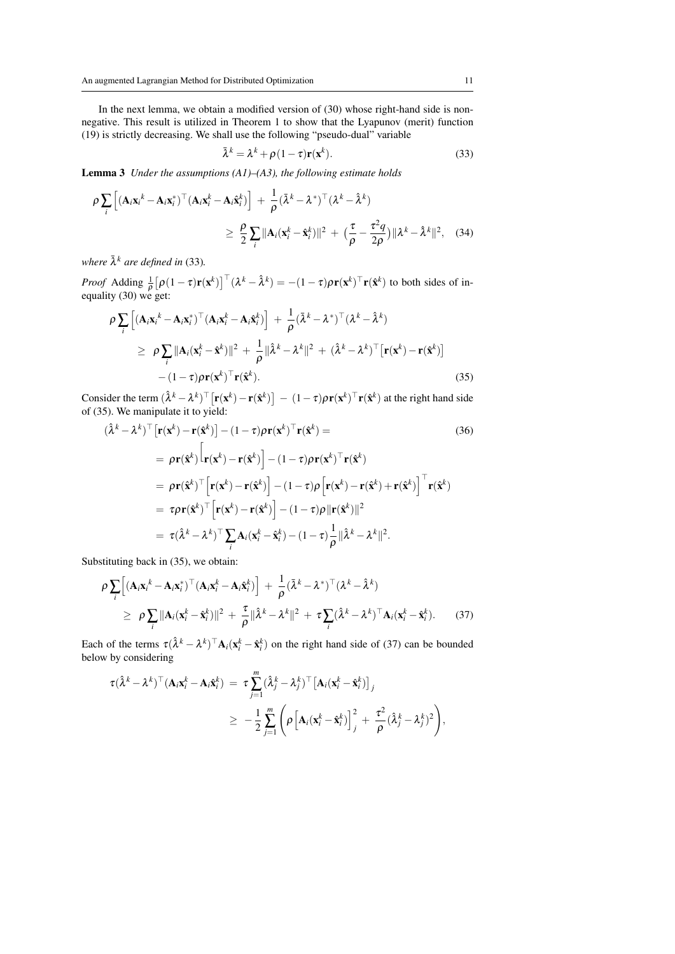In the next lemma, we obtain a modified version of (30) whose right-hand side is nonnegative. This result is utilized in Theorem 1 to show that the Lyapunov (merit) function (19) is strictly decreasing. We shall use the following "pseudo-dual" variable

$$
\bar{\lambda}^k = \lambda^k + \rho (1 - \tau) \mathbf{r}(\mathbf{x}^k).
$$
 (33)

Lemma 3 *Under the assumptions (A1)–(A3), the following estimate holds*

$$
\rho \sum_{i} \left[ (\mathbf{A}_{i} \mathbf{x}_{i}^{k} - \mathbf{A}_{i} \mathbf{x}_{i}^{*})^{\top} (\mathbf{A}_{i} \mathbf{x}_{i}^{k} - \mathbf{A}_{i} \hat{\mathbf{x}}_{i}^{k}) \right] + \frac{1}{\rho} (\bar{\lambda}^{k} - \lambda^{*})^{\top} (\lambda^{k} - \hat{\lambda}^{k})
$$
  
\n
$$
\geq \frac{\rho}{2} \sum_{i} ||\mathbf{A}_{i} (\mathbf{x}_{i}^{k} - \hat{\mathbf{x}}_{i}^{k})||^{2} + (\frac{\tau}{\rho} - \frac{\tau^{2} q}{2\rho}) ||\lambda^{k} - \hat{\lambda}^{k}||^{2}, \quad (34)
$$

where  $\bar{\lambda}^k$  are defined in (33).

*Proof* Adding  $\frac{1}{\rho} [\rho(1-\tau)\mathbf{r}(\mathbf{x}^k)]^\top (\lambda^k - \hat{\lambda}^k) = -(1-\tau)\rho \mathbf{r}(\mathbf{x}^k)^\top \mathbf{r}(\hat{\mathbf{x}}^k)$  to both sides of inequality (30) we get:

$$
\rho \sum_{i} \left[ (\mathbf{A}_{i} \mathbf{x}_{i}^{k} - \mathbf{A}_{i} \mathbf{x}_{i}^{*})^{\top} (\mathbf{A}_{i} \mathbf{x}_{i}^{k} - \mathbf{A}_{i} \hat{\mathbf{x}}_{i}^{k}) \right] + \frac{1}{\rho} (\bar{\lambda}^{k} - \lambda^{*})^{\top} (\lambda^{k} - \hat{\lambda}^{k})
$$
\n
$$
\geq \rho \sum_{i} ||\mathbf{A}_{i} (\mathbf{x}_{i}^{k} - \hat{\mathbf{x}}^{k})||^{2} + \frac{1}{\rho} ||\hat{\lambda}^{k} - \lambda^{k}||^{2} + (\hat{\lambda}^{k} - \lambda^{k})^{\top} [\mathbf{r}(\mathbf{x}^{k}) - \mathbf{r}(\hat{\mathbf{x}}^{k})]
$$
\n
$$
- (1 - \tau) \rho \mathbf{r}(\mathbf{x}^{k})^{\top} \mathbf{r}(\hat{\mathbf{x}}^{k}).
$$
\n(35)

Consider the term  $(\hat{\lambda}^k - \lambda^k)^\top [\mathbf{r}(\mathbf{x}^k) - \mathbf{r}(\hat{\mathbf{x}}^k)] - (1 - \tau) \rho \mathbf{r}(\mathbf{x}^k)^\top \mathbf{r}(\hat{\mathbf{x}}^k)$  at the right hand side of (35). We manipulate it to yield:

$$
(\hat{\lambda}^k - \lambda^k)^{\top} [\mathbf{r}(\mathbf{x}^k) - \mathbf{r}(\hat{\mathbf{x}}^k)] - (1 - \tau) \rho \mathbf{r}(\mathbf{x}^k)^{\top} \mathbf{r}(\hat{\mathbf{x}}^k) =
$$
\n
$$
= \rho \mathbf{r}(\hat{\mathbf{x}}^k) [\mathbf{r}(\mathbf{x}^k) - \mathbf{r}(\hat{\mathbf{x}}^k)] - (1 - \tau) \rho \mathbf{r}(\mathbf{x}^k)^{\top} \mathbf{r}(\hat{\mathbf{x}}^k)
$$
\n
$$
= \rho \mathbf{r}(\hat{\mathbf{x}}^k)^{\top} [\mathbf{r}(\mathbf{x}^k) - \mathbf{r}(\hat{\mathbf{x}}^k)] - (1 - \tau) \rho [\mathbf{r}(\mathbf{x}^k) - \mathbf{r}(\hat{\mathbf{x}}^k) + \mathbf{r}(\hat{\mathbf{x}}^k)]^{\top} \mathbf{r}(\hat{\mathbf{x}}^k)
$$
\n
$$
= \tau \rho \mathbf{r}(\hat{\mathbf{x}}^k)^{\top} [\mathbf{r}(\mathbf{x}^k) - \mathbf{r}(\hat{\mathbf{x}}^k)] - (1 - \tau) \rho ||\mathbf{r}(\hat{\mathbf{x}}^k)||^2
$$
\n
$$
= \tau (\hat{\lambda}^k - \lambda^k)^{\top} \sum_{i} \mathbf{A}_i (\mathbf{x}^k_i - \hat{\mathbf{x}}^k_i) - (1 - \tau) \frac{1}{\rho} ||\hat{\lambda}^k - \lambda^k||^2.
$$
\n(36)

Substituting back in (35), we obtain:

$$
\rho \sum_{i} \left[ (\mathbf{A}_{i} \mathbf{x}_{i}^{k} - \mathbf{A}_{i} \mathbf{x}_{i}^{*})^{\top} (\mathbf{A}_{i} \mathbf{x}_{i}^{k} - \mathbf{A}_{i} \hat{\mathbf{x}}_{i}^{k}) \right] + \frac{1}{\rho} (\bar{\lambda}^{k} - \lambda^{*})^{\top} (\lambda^{k} - \hat{\lambda}^{k})
$$
\n
$$
\geq \rho \sum_{i} ||\mathbf{A}_{i} (\mathbf{x}_{i}^{k} - \hat{\mathbf{x}}_{i}^{k})||^{2} + \frac{\tau}{\rho} ||\hat{\lambda}^{k} - \lambda^{k}||^{2} + \tau \sum_{i} (\hat{\lambda}^{k} - \lambda^{k})^{\top} \mathbf{A}_{i} (\mathbf{x}_{i}^{k} - \hat{\mathbf{x}}_{i}^{k}). \tag{37}
$$

Each of the terms  $\tau(\hat{\lambda}^k - \lambda^k)^{\top} A_i(x_i^k - \hat{x}_i^k)$  on the right hand side of (37) can be bounded below by considering

$$
\tau(\hat{\lambda}^k - \lambda^k)^{\top} (\mathbf{A}_i \mathbf{x}_i^k - \mathbf{A}_i \hat{\mathbf{x}}_i^k) = \tau \sum_{j=1}^m (\hat{\lambda}_j^k - \lambda_j^k)^{\top} [\mathbf{A}_i (\mathbf{x}_i^k - \hat{\mathbf{x}}_i^k)]_j
$$
  

$$
\geq -\frac{1}{2} \sum_{j=1}^m \left( \rho \left[ \mathbf{A}_i (\mathbf{x}_i^k - \hat{\mathbf{x}}_i^k) \right]_j^2 + \frac{\tau^2}{\rho} (\hat{\lambda}_j^k - \lambda_j^k)^2 \right),
$$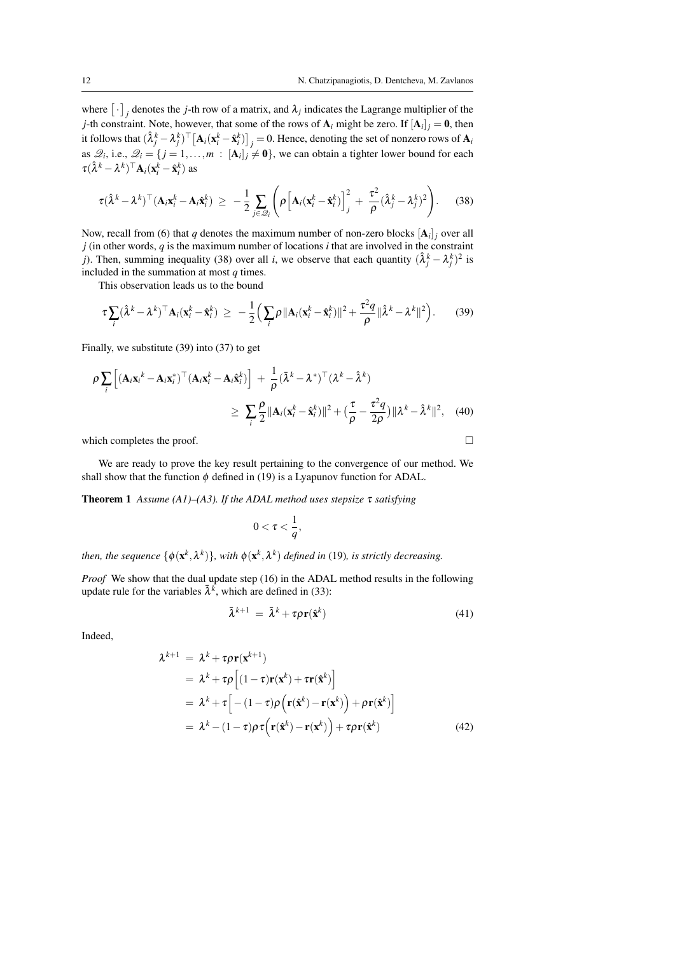where  $[\cdot]_j$  denotes the *j*-th row of a matrix, and  $\lambda_j$  indicates the Lagrange multiplier of the *j*-th constraint. Note, however, that some of the rows of  $A_i$  might be zero. If  $[A_i]_j = 0$ , then it follows that  $(\hat{\lambda}_j^k - \lambda_j^k)^\top \left[{\bf A}_i ({\bf x}_i^k - \hat{\bf x}_i^k)\right]_j = 0.$  Hence, denoting the set of nonzero rows of  ${\bf A}_i$ as  $\mathcal{Q}_i$ , i.e.,  $\mathcal{Q}_i = \{j = 1, ..., m : [\mathbf{A}_i]_j \neq \mathbf{0}\}$ , we can obtain a tighter lower bound for each  $\tau(\hat{\lambda}^k - \lambda^k)^\top \mathbf{A}_i (\mathbf{x}_i^k - \hat{\mathbf{x}}_i^k)$  as

$$
\tau(\hat{\lambda}^k - \lambda^k)^\top (\mathbf{A}_i \mathbf{x}_i^k - \mathbf{A}_i \hat{\mathbf{x}}_i^k) \geq -\frac{1}{2} \sum_{j \in \mathcal{Q}_i} \left( \rho \left[ \mathbf{A}_i (\mathbf{x}_i^k - \hat{\mathbf{x}}_i^k) \right]_j^2 + \frac{\tau^2}{\rho} (\hat{\lambda}_j^k - \lambda_j^k)^2 \right). \tag{38}
$$

Now, recall from (6) that *q* denotes the maximum number of non-zero blocks  $[A_i]_j$  over all *j* (in other words, *q* is the maximum number of locations *i* that are involved in the constraint *j*). Then, summing inequality (38) over all *i*, we observe that each quantity  $(\hat{\lambda}_j^k - \lambda_j^k)^2$  is included in the summation at most *q* times.

This observation leads us to the bound

$$
\tau \sum_i (\hat{\lambda}^k - \lambda^k)^{\top} \mathbf{A}_i (\mathbf{x}_i^k - \hat{\mathbf{x}}_i^k) \geq -\frac{1}{2} \Big( \sum_i \rho \|\mathbf{A}_i (\mathbf{x}_i^k - \hat{\mathbf{x}}_i^k)\|^2 + \frac{\tau^2 q}{\rho} \|\hat{\lambda}^k - \lambda^k\|^2 \Big). \tag{39}
$$

Finally, we substitute (39) into (37) to get

$$
\rho \sum_{i} \left[ (\mathbf{A}_{i} \mathbf{x}_{i}^{k} - \mathbf{A}_{i} \mathbf{x}_{i}^{*})^{\top} (\mathbf{A}_{i} \mathbf{x}_{i}^{k} - \mathbf{A}_{i} \hat{\mathbf{x}}_{i}^{k}) \right] + \frac{1}{\rho} (\bar{\lambda}^{k} - \lambda^{*})^{\top} (\lambda^{k} - \hat{\lambda}^{k})
$$
\n
$$
\geq \sum_{i} \frac{\rho}{2} ||\mathbf{A}_{i} (\mathbf{x}_{i}^{k} - \hat{\mathbf{x}}_{i}^{k})||^{2} + \left(\frac{\tau}{\rho} - \frac{\tau^{2} q}{2\rho}\right) ||\lambda^{k} - \hat{\lambda}^{k}||^{2}, \quad (40)
$$

which completes the proof.  $\Box$ 

We are ready to prove the key result pertaining to the convergence of our method. We shall show that the function  $\phi$  defined in (19) is a Lyapunov function for ADAL.

Theorem 1 *Assume (A1)–(A3). If the ADAL method uses stepsize* τ *satisfying*

$$
0<\tau<\frac{1}{q},
$$

then, the sequence  $\{\phi(\mathbf{x}^k,\lambda^k)\}$ , with  $\phi(\mathbf{x}^k,\lambda^k)$  defined in (19), is strictly decreasing.

*Proof* We show that the dual update step (16) in the ADAL method results in the following update rule for the variables  $\bar{\lambda}^k$ , which are defined in (33):

$$
\bar{\lambda}^{k+1} = \bar{\lambda}^k + \tau \rho \mathbf{r}(\hat{\mathbf{x}}^k)
$$
\n(41)

Indeed,

$$
\lambda^{k+1} = \lambda^k + \tau \rho \mathbf{r}(\mathbf{x}^{k+1})
$$
  
\n
$$
= \lambda^k + \tau \rho \left[ (1 - \tau) \mathbf{r}(\mathbf{x}^k) + \tau \mathbf{r}(\hat{\mathbf{x}}^k) \right]
$$
  
\n
$$
= \lambda^k + \tau \left[ -(1 - \tau) \rho \left( \mathbf{r}(\hat{\mathbf{x}}^k) - \mathbf{r}(\mathbf{x}^k) \right) + \rho \mathbf{r}(\hat{\mathbf{x}}^k) \right]
$$
  
\n
$$
= \lambda^k - (1 - \tau) \rho \tau \left( \mathbf{r}(\hat{\mathbf{x}}^k) - \mathbf{r}(\mathbf{x}^k) \right) + \tau \rho \mathbf{r}(\hat{\mathbf{x}}^k)
$$
(42)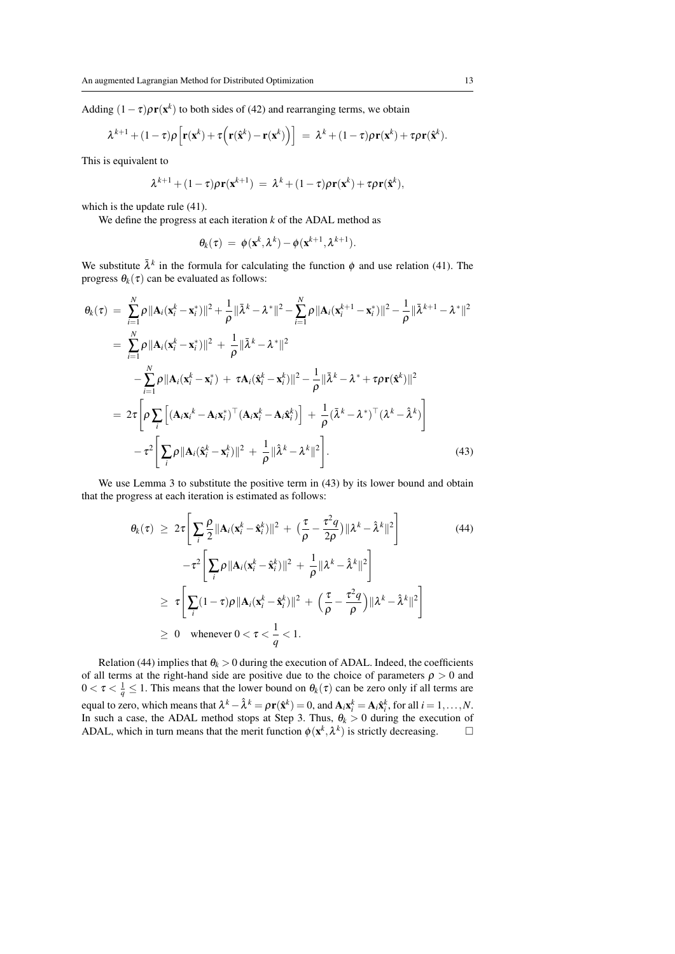Adding  $(1 - \tau)\rho r(x^k)$  to both sides of (42) and rearranging terms, we obtain

$$
\lambda^{k+1} + (1-\tau)\rho \Big[ \mathbf{r}(\mathbf{x}^k) + \tau \Big( \mathbf{r}(\hat{\mathbf{x}}^k) - \mathbf{r}(\mathbf{x}^k) \Big) \Big] = \lambda^k + (1-\tau)\rho \mathbf{r}(\mathbf{x}^k) + \tau \rho \mathbf{r}(\hat{\mathbf{x}}^k).
$$

This is equivalent to

$$
\lambda^{k+1} + (1 - \tau)\rho \mathbf{r}(\mathbf{x}^{k+1}) = \lambda^k + (1 - \tau)\rho \mathbf{r}(\mathbf{x}^k) + \tau \rho \mathbf{r}(\hat{\mathbf{x}}^k),
$$

which is the update rule  $(41)$ .

We define the progress at each iteration *k* of the ADAL method as

$$
\theta_k(\tau) = \phi(\mathbf{x}^k, \lambda^k) - \phi(\mathbf{x}^{k+1}, \lambda^{k+1}).
$$

We substitute  $\bar{\lambda}^k$  in the formula for calculating the function  $\phi$  and use relation (41). The progress  $\theta_k(\tau)$  can be evaluated as follows:

$$
\theta_k(\tau) = \sum_{i=1}^N \rho \|\mathbf{A}_i(\mathbf{x}_i^k - \mathbf{x}_i^*)\|^2 + \frac{1}{\rho} \|\bar{\lambda}^k - \lambda^*\|^2 - \sum_{i=1}^N \rho \|\mathbf{A}_i(\mathbf{x}_i^{k+1} - \mathbf{x}_i^*)\|^2 - \frac{1}{\rho} \|\bar{\lambda}^{k+1} - \lambda^*\|^2
$$
  
\n
$$
= \sum_{i=1}^N \rho \|\mathbf{A}_i(\mathbf{x}_i^k - \mathbf{x}_i^*)\|^2 + \frac{1}{\rho} \|\bar{\lambda}^k - \lambda^*\|^2
$$
  
\n
$$
- \sum_{i=1}^N \rho \|\mathbf{A}_i(\mathbf{x}_i^k - \mathbf{x}_i^*) + \tau \mathbf{A}_i(\hat{\mathbf{x}}_i^k - \mathbf{x}_i^k)\|^2 - \frac{1}{\rho} \|\bar{\lambda}^k - \lambda^* + \tau \rho \mathbf{r}(\hat{\mathbf{x}}^k)\|^2
$$
  
\n
$$
= 2\tau \left[ \rho \sum_i \left[ (\mathbf{A}_i \mathbf{x}_i^k - \mathbf{A}_i \mathbf{x}_i^*)^\top (\mathbf{A}_i \mathbf{x}_i^k - \mathbf{A}_i \hat{\mathbf{x}}_i^k) \right] + \frac{1}{\rho} (\bar{\lambda}^k - \lambda^*)^\top (\lambda^k - \hat{\lambda}^k) \right]
$$
  
\n
$$
- \tau^2 \left[ \sum_i \rho \|\mathbf{A}_i(\hat{\mathbf{x}}_i^k - \mathbf{x}_i^k)\|^2 + \frac{1}{\rho} \|\hat{\lambda}^k - \lambda^k\|^2 \right].
$$
 (43)

We use Lemma 3 to substitute the positive term in (43) by its lower bound and obtain that the progress at each iteration is estimated as follows:

$$
\theta_k(\tau) \geq 2\tau \Bigg[ \sum_i \frac{\rho}{2} \|\mathbf{A}_i(\mathbf{x}_i^k - \hat{\mathbf{x}}_i^k)\|^2 + \big(\frac{\tau}{\rho} - \frac{\tau^2 q}{2\rho}\big) \|\lambda^k - \hat{\lambda}^k\|^2 \Bigg] \tag{44}
$$
\n
$$
-\tau^2 \Bigg[ \sum_i \rho \|\mathbf{A}_i(\mathbf{x}_i^k - \hat{\mathbf{x}}_i^k)\|^2 + \frac{1}{\rho} \|\lambda^k - \hat{\lambda}^k\|^2 \Bigg]
$$
\n
$$
\geq \tau \Bigg[ \sum_i (1 - \tau)\rho \|\mathbf{A}_i(\mathbf{x}_i^k - \hat{\mathbf{x}}_i^k)\|^2 + \Big(\frac{\tau}{\rho} - \frac{\tau^2 q}{\rho}\Big) \|\lambda^k - \hat{\lambda}^k\|^2 \Bigg]
$$
\n
$$
\geq 0 \quad \text{whenever } 0 < \tau < \frac{1}{q} < 1.
$$

Relation (44) implies that  $\theta_k > 0$  during the execution of ADAL. Indeed, the coefficients of all terms at the right-hand side are positive due to the choice of parameters  $\rho > 0$  and  $0 < \tau < \frac{1}{q} \le 1$ . This means that the lower bound on  $\theta_k(\tau)$  can be zero only if all terms are equal to zero, which means that  $\lambda^k - \hat{\lambda}^k = \rho \mathbf{r}(\hat{\mathbf{x}}^k) = 0$ , and  $\mathbf{A}_i \mathbf{x}_i^k = \mathbf{A}_i \hat{\mathbf{x}}_i^k$ , for all  $i = 1, ..., N$ . In such a case, the ADAL method stops at Step 3. Thus,  $\theta_k > 0$  during the execution of ADAL, which in turn means that the merit function  $\phi(\mathbf{x}^k, \lambda^k)$  is strictly decreasing.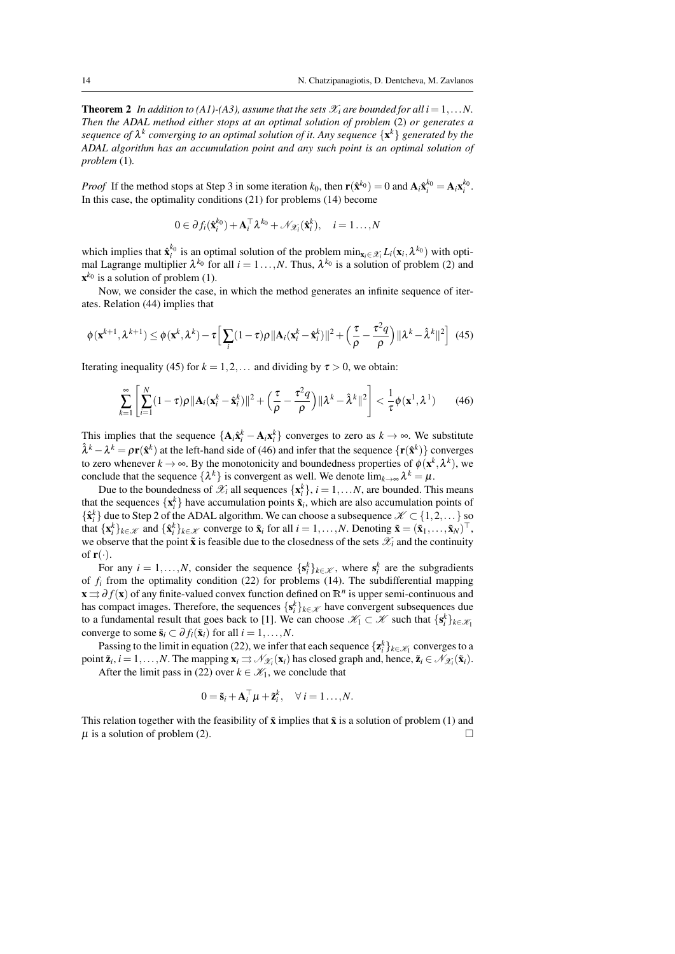**Theorem 2** In addition to (A1)-(A3), assume that the sets  $\mathcal{X}_i$  are bounded for all  $i = 1, \ldots N$ . *Then the ADAL method either stops at an optimal solution of problem* (2) *or generates a sequence of* λ *k converging to an optimal solution of it. Any sequence* {x *<sup>k</sup>*} *generated by the ADAL algorithm has an accumulation point and any such point is an optimal solution of problem* (1)*.*

*Proof* If the method stops at Step 3 in some iteration  $k_0$ , then  $\mathbf{r}(\hat{\mathbf{x}}^{k_0}) = 0$  and  $\mathbf{A}_i \hat{\mathbf{x}}_i^{k_0} = \mathbf{A}_i \mathbf{x}_i^{k_0}$ . In this case, the optimality conditions (21) for problems (14) become

$$
0 \in \partial f_i(\hat{\mathbf{x}}_i^{k_0}) + \mathbf{A}_i^{\top} \lambda^{k_0} + \mathcal{N}_{\mathcal{X}_i}(\hat{\mathbf{x}}_i^k), \quad i = 1 \dots, N
$$

which implies that  $\hat{\mathbf{x}}_i^{k_0}$  is an optimal solution of the problem  $\min_{\mathbf{x}_i \in \mathcal{X}_i} L_i(\mathbf{x}_i, \lambda^{k_0})$  with optimal Lagrange multiplier  $\lambda^{k_0}$  for all  $i = 1 \ldots, N$ . Thus,  $\lambda^{k_0}$  is a solution of problem (2) and  $\mathbf{x}^{k_0}$  is a solution of problem (1).

Now, we consider the case, in which the method generates an infinite sequence of iterates. Relation (44) implies that

$$
\phi(\mathbf{x}^{k+1},\lambda^{k+1}) \leq \phi(\mathbf{x}^k,\lambda^k) - \tau \Big[ \sum_i (1-\tau)\rho \|\mathbf{A}_i(\mathbf{x}_i^k - \hat{\mathbf{x}}_i^k)\|^2 + \left(\frac{\tau}{\rho} - \frac{\tau^2 q}{\rho}\right) \|\lambda^k - \hat{\lambda}^k\|^2 \Big] \tag{45}
$$

Iterating inequality (45) for  $k = 1, 2, \ldots$  and dividing by  $\tau > 0$ , we obtain:

$$
\sum_{k=1}^{\infty} \left[ \sum_{i=1}^{N} (1-\tau)\rho \|\mathbf{A}_i(\mathbf{x}_i^k - \hat{\mathbf{x}}_i^k)\|^2 + \left(\frac{\tau}{\rho} - \frac{\tau^2 q}{\rho}\right) \|\lambda^k - \hat{\lambda}^k\|^2 \right] < \frac{1}{\tau} \phi(\mathbf{x}^1, \lambda^1) \tag{46}
$$

This implies that the sequence  $\{A_i \hat{x}_i^k - A_i x_i^k\}$  converges to zero as  $k \to \infty$ . We substitute  $\hat{\lambda}^k - \lambda^k = \rho \mathbf{r}(\hat{\mathbf{x}}^k)$  at the left-hand side of (46) and infer that the sequence  $\{\mathbf{r}(\hat{\mathbf{x}}^k)\}\)$  converges to zero whenever  $k \to \infty$ . By the monotonicity and boundedness properties of  $\phi(\mathbf{x}^k, \lambda^k)$ , we conclude that the sequence  $\{\lambda^k\}$  is convergent as well. We denote  $\lim_{k\to\infty}\lambda^k=\mu$ .

Due to the boundedness of  $\mathcal{X}_i$  all sequences  $\{\mathbf{x}_i^k\}$ ,  $i = 1,...N$ , are bounded. This means that the sequences  $\{x_i^k\}$  have accumulation points  $\tilde{x}_i$ , which are also accumulation points of  $\{\hat{\mathbf{x}}_i^k\}$  due to Step 2 of the ADAL algorithm. We can choose a subsequence  $\mathcal{K} \subset \{1, 2, ...\}$  so that  $\{\mathbf{x}_i^k\}_{k \in \mathcal{K}}$  and  $\{\hat{\mathbf{x}}_i^k\}_{k \in \mathcal{K}}$  converge to  $\tilde{\mathbf{x}}_i$  for all  $i = 1, ..., N$ . Denoting  $\tilde{\mathbf{x}} = (\tilde{\mathbf{x}}_1, ..., \tilde{\mathbf{x}}_N)^\top$ , we observe that the point  $\tilde{\mathbf{x}}$  is feasible due to the closedness of the sets  $\mathscr{X}_i$  and the continuity of  $\mathbf{r}(\cdot)$ .

For any  $i = 1, ..., N$ , consider the sequence  $\{s_i^k\}_{k \in \mathcal{K}}$ , where  $s_i^k$  are the subgradients of  $f_i$  from the optimality condition (22) for problems (14). The subdifferential mapping x ⇒ ∂ *f*(x) of any finite-valued convex function defined on R*<sup>n</sup>* is upper semi-continuous and has compact images. Therefore, the sequences  $\{s_i^k\}_{k \in \mathcal{K}}$  have convergent subsequences due to a fundamental result that goes back to [1]. We can choose  $\mathscr{K}_1 \subset \mathscr{K}$  such that  $\{s_i^k\}_{k \in \mathscr{K}_1}$ converge to some  $\tilde{\mathbf{s}}_i \subset \partial f_i(\tilde{\mathbf{x}}_i)$  for all  $i = 1, ..., N$ .

Passing to the limit in equation (22), we infer that each sequence  $\{z_i^k\}_{k \in \mathcal{K}_1}$  converges to a point  $\tilde{\mathbf{z}}_i$ ,  $i = 1, ..., N$ . The mapping  $\mathbf{x}_i \rightrightarrows \mathcal{N}_{\mathcal{X}_i}(\mathbf{x}_i)$  has closed graph and, hence,  $\tilde{\mathbf{z}}_i \in \mathcal{N}_{\mathcal{X}_i}(\tilde{\mathbf{x}}_i)$ .

After the limit pass in (22) over  $k \in \mathcal{K}_1$ , we conclude that

$$
0 = \tilde{\mathbf{s}}_i + \mathbf{A}_i^{\top} \boldsymbol{\mu} + \tilde{\mathbf{z}}_i^k, \quad \forall i = 1 \dots, N.
$$

This relation together with the feasibility of  $\tilde{\mathbf{x}}$  implies that  $\tilde{\mathbf{x}}$  is a solution of problem (1) and  $\mu$  is a solution of problem (2).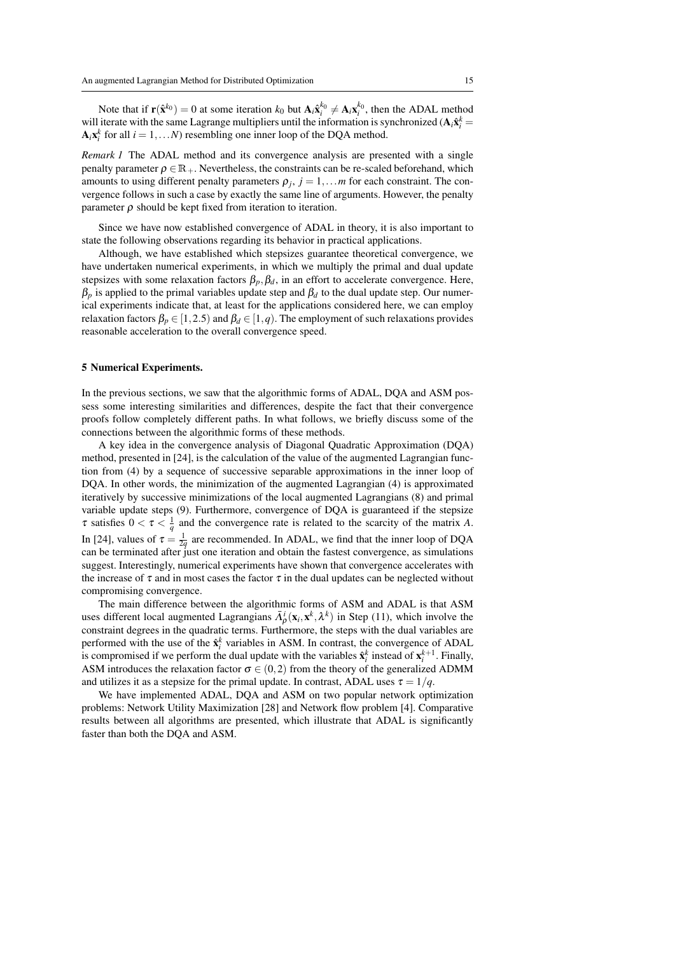Note that if  $\mathbf{r}(\hat{\mathbf{x}}^{k_0}) = 0$  at some iteration  $k_0$  but  $\mathbf{A}_i \hat{\mathbf{x}}_i^{k_0} \neq \mathbf{A}_i \mathbf{x}_i^{k_0}$ , then the ADAL method will iterate with the same Lagrange multipliers until the information is synchronized  $(A_i \hat{x}_i^k = A_i \hat{A}_i)$  $A_i x_i^k$  for all  $i = 1,...N$ ) resembling one inner loop of the DQA method.

*Remark 1* The ADAL method and its convergence analysis are presented with a single penalty parameter  $\rho \in \mathbb{R}_+$ . Nevertheless, the constraints can be re-scaled beforehand, which amounts to using different penalty parameters  $\rho_j$ ,  $j = 1, \ldots m$  for each constraint. The convergence follows in such a case by exactly the same line of arguments. However, the penalty parameter  $\rho$  should be kept fixed from iteration to iteration.

Since we have now established convergence of ADAL in theory, it is also important to state the following observations regarding its behavior in practical applications.

Although, we have established which stepsizes guarantee theoretical convergence, we have undertaken numerical experiments, in which we multiply the primal and dual update stepsizes with some relaxation factors  $\beta_p$ ,  $\beta_d$ , in an effort to accelerate convergence. Here,  $\beta_p$  is applied to the primal variables update step and  $\beta_d$  to the dual update step. Our numerical experiments indicate that, at least for the applications considered here, we can employ relaxation factors  $\beta_p \in [1,2.5)$  and  $\beta_d \in [1,q)$ . The employment of such relaxations provides reasonable acceleration to the overall convergence speed.

#### 5 Numerical Experiments.

In the previous sections, we saw that the algorithmic forms of ADAL, DQA and ASM possess some interesting similarities and differences, despite the fact that their convergence proofs follow completely different paths. In what follows, we briefly discuss some of the connections between the algorithmic forms of these methods.

A key idea in the convergence analysis of Diagonal Quadratic Approximation (DQA) method, presented in [24], is the calculation of the value of the augmented Lagrangian function from (4) by a sequence of successive separable approximations in the inner loop of DQA. In other words, the minimization of the augmented Lagrangian (4) is approximated iteratively by successive minimizations of the local augmented Lagrangians (8) and primal variable update steps (9). Furthermore, convergence of DQA is guaranteed if the stepsize  $\tau$  satisfies  $0 < \tau < \frac{1}{q}$  and the convergence rate is related to the scarcity of the matrix *A*. In [24], values of  $\tau = \frac{1}{2q}$  are recommended. In ADAL, we find that the inner loop of DQA can be terminated after just one iteration and obtain the fastest convergence, as simulations suggest. Interestingly, numerical experiments have shown that convergence accelerates with the increase of  $\tau$  and in most cases the factor  $\tau$  in the dual updates can be neglected without compromising convergence.

The main difference between the algorithmic forms of ASM and ADAL is that ASM uses different local augmented Lagrangians  $\bar{\Lambda}^i_{\rho}(\mathbf{x}_i, \mathbf{x}^k, \lambda^k)$  in Step (11), which involve the constraint degrees in the quadratic terms. Furthermore, the steps with the dual variables are performed with the use of the  $\hat{\mathbf{x}}_i^k$  variables in ASM. In contrast, the convergence of ADAL is compromised if we perform the dual update with the variables  $\hat{\mathbf{x}}_i^k$  instead of  $\mathbf{x}_i^{k+1}$ . Finally, ASM introduces the relaxation factor  $\sigma \in (0,2)$  from the theory of the generalized ADMM and utilizes it as a stepsize for the primal update. In contrast, ADAL uses  $\tau = 1/q$ .

We have implemented ADAL, DQA and ASM on two popular network optimization problems: Network Utility Maximization [28] and Network flow problem [4]. Comparative results between all algorithms are presented, which illustrate that ADAL is significantly faster than both the DQA and ASM.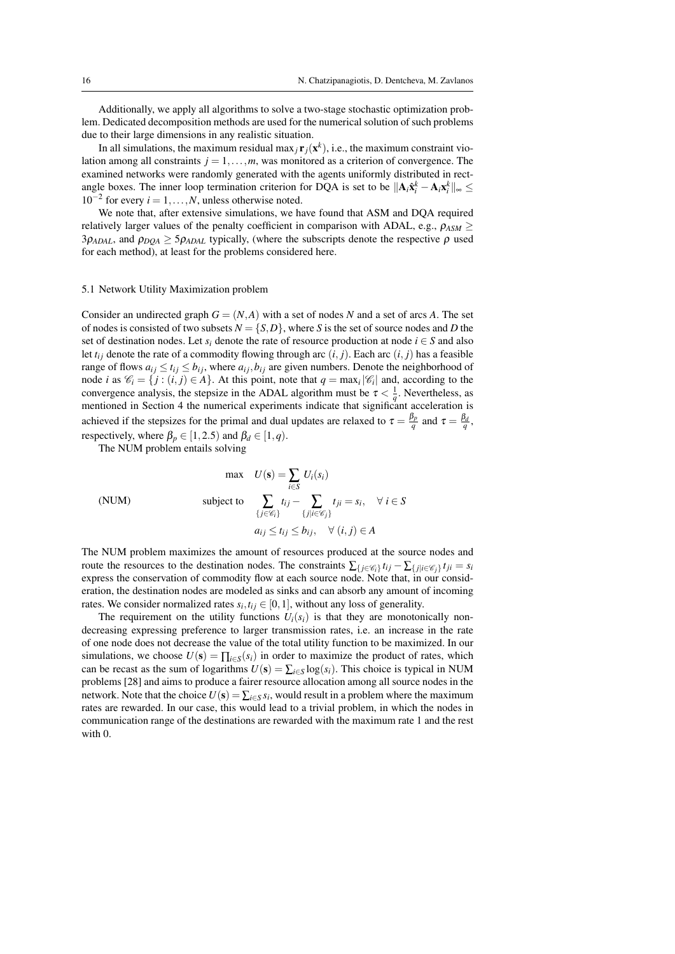Additionally, we apply all algorithms to solve a two-stage stochastic optimization problem. Dedicated decomposition methods are used for the numerical solution of such problems due to their large dimensions in any realistic situation.

In all simulations, the maximum residual max<sub>j</sub> $\mathbf{r}_j(\mathbf{x}^k)$ , i.e., the maximum constraint violation among all constraints  $j = 1, \ldots, m$ , was monitored as a criterion of convergence. The examined networks were randomly generated with the agents uniformly distributed in rectangle boxes. The inner loop termination criterion for DQA is set to be  $||A_i \hat{x}_i^k - A_i x_i^k||_{\infty} \le$  $10^{-2}$  for every  $i = 1, \ldots, N$ , unless otherwise noted.

We note that, after extensive simulations, we have found that ASM and DQA required relatively larger values of the penalty coefficient in comparison with ADAL, e.g.,  $\rho_{ASM} \geq$  $3\rho_{ADAL}$ , and  $\rho_{DOA} \geq 5\rho_{ADAL}$  typically, (where the subscripts denote the respective  $\rho$  used for each method), at least for the problems considered here.

## 5.1 Network Utility Maximization problem

Consider an undirected graph  $G = (N, A)$  with a set of nodes N and a set of arcs A. The set of nodes is consisted of two subsets  $N = \{S, D\}$ , where *S* is the set of source nodes and *D* the set of destination nodes. Let  $s_i$  denote the rate of resource production at node  $i \in S$  and also let  $t_{ij}$  denote the rate of a commodity flowing through arc  $(i, j)$ . Each arc  $(i, j)$  has a feasible range of flows  $a_{ij} \le t_{ij} \le b_{ij}$ , where  $a_{ij}, b_{ij}$  are given numbers. Denote the neighborhood of node *i* as  $\mathcal{C}_i = \{j : (i, j) \in A\}$ . At this point, note that  $q = \max_i |\mathcal{C}_i|$  and, according to the convergence analysis, the stepsize in the ADAL algorithm must be  $\tau < \frac{1}{q}$ . Nevertheless, as mentioned in Section 4 the numerical experiments indicate that significant acceleration is achieved if the stepsizes for the primal and dual updates are relaxed to  $\tau = \frac{\beta_p}{q}$  and  $\tau = \frac{\beta_d}{q}$ , respectively, where  $\beta_p \in [1, 2.5)$  and  $\beta_d \in [1, q)$ .

The NUM problem entails solving

(NUM)  $max \quad U(\mathbf{s}) = \sum_{i \in S}$  $U_i(s_i)$  $\text{subject to} \quad \sum_{\{j \in \mathscr{C}_i\}} t_{ij} - \sum_{\{j \mid i \in \mathscr{C}_j\}}$  $t_{ji} = s_i, \quad \forall i \in S$  $a_{ij} \le t_{ij} \le b_{ij}, \quad \forall (i, j) \in A$ 

The NUM problem maximizes the amount of resources produced at the source nodes and route the resources to the destination nodes. The constraints  $\sum_{\{j \in \mathcal{C}_i\}} t_{ij} - \sum_{\{j | i \in \mathcal{C}_j\}} t_{ji} = s_i$ express the conservation of commodity flow at each source node. Note that, in our consideration, the destination nodes are modeled as sinks and can absorb any amount of incoming rates. We consider normalized rates  $s_i, t_{ij} \in [0, 1]$ , without any loss of generality.

The requirement on the utility functions  $U_i(s_i)$  is that they are monotonically nondecreasing expressing preference to larger transmission rates, i.e. an increase in the rate of one node does not decrease the value of the total utility function to be maximized. In our simulations, we choose  $U(s) = \prod_{i \in S} (s_i)$  in order to maximize the product of rates, which can be recast as the sum of logarithms  $U(s) = \sum_{i \in S} \log(s_i)$ . This choice is typical in NUM problems [28] and aims to produce a fairer resource allocation among all source nodes in the network. Note that the choice  $U(s) = \sum_{i \in S} s_i$ , would result in a problem where the maximum rates are rewarded. In our case, this would lead to a trivial problem, in which the nodes in communication range of the destinations are rewarded with the maximum rate 1 and the rest with 0.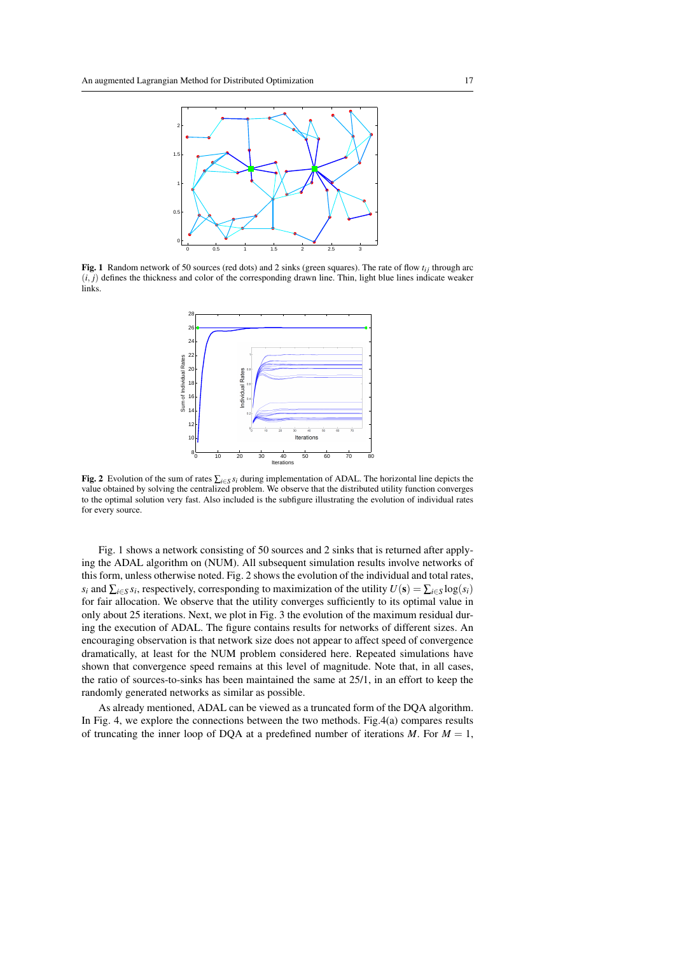

Fig. 1 Random network of 50 sources (red dots) and 2 sinks (green squares). The rate of flow  $t_{ij}$  through arc  $(i, j)$  defines the thickness and color of the corresponding drawn line. Thin, light blue lines indicate weaker links.



Fig. 2 Evolution of the sum of rates  $\sum_{i \in S} s_i$  during implementation of ADAL. The horizontal line depicts the value obtained by solving the centralized problem. We observe that the distributed utility function converges to the optimal solution very fast. Also included is the subfigure illustrating the evolution of individual rates for every source.

Fig. 1 shows a network consisting of 50 sources and 2 sinks that is returned after applying the ADAL algorithm on (NUM). All subsequent simulation results involve networks of this form, unless otherwise noted. Fig. 2 shows the evolution of the individual and total rates, *s*<sup>*i*</sup> and  $\sum_{i \in S} s_i$ , respectively, corresponding to maximization of the utility  $U(s) = \sum_{i \in S} \log(s_i)$ for fair allocation. We observe that the utility converges sufficiently to its optimal value in only about 25 iterations. Next, we plot in Fig. 3 the evolution of the maximum residual during the execution of ADAL. The figure contains results for networks of different sizes. An encouraging observation is that network size does not appear to affect speed of convergence dramatically, at least for the NUM problem considered here. Repeated simulations have shown that convergence speed remains at this level of magnitude. Note that, in all cases, the ratio of sources-to-sinks has been maintained the same at 25/1, in an effort to keep the randomly generated networks as similar as possible.

As already mentioned, ADAL can be viewed as a truncated form of the DQA algorithm. In Fig. 4, we explore the connections between the two methods. Fig.4(a) compares results of truncating the inner loop of DQA at a predefined number of iterations  $M$ . For  $M = 1$ ,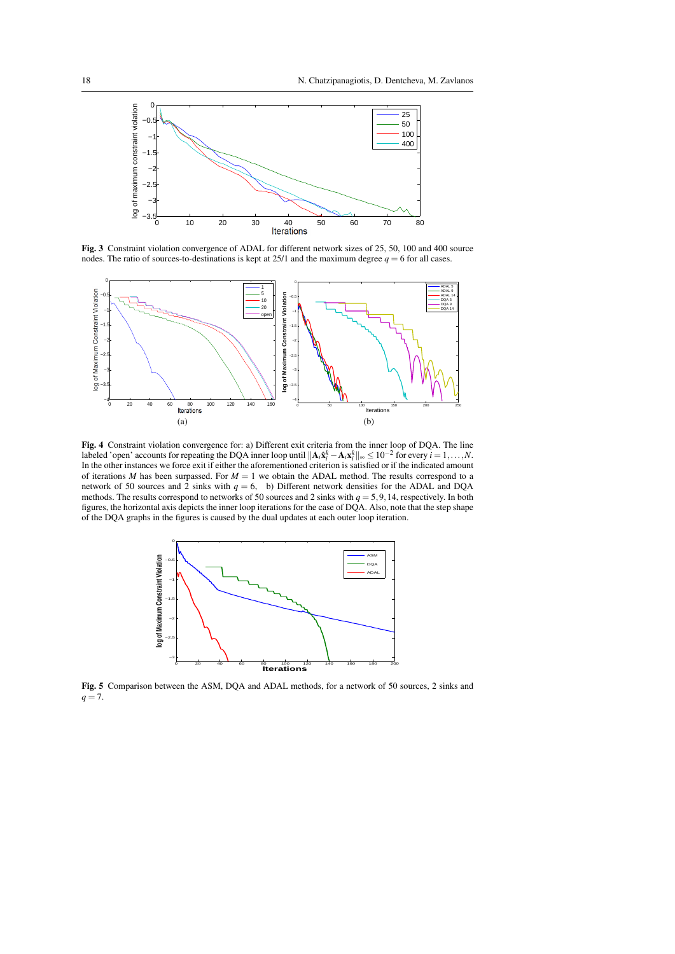

Fig. 3 Constraint violation convergence of ADAL for different network sizes of 25, 50, 100 and 400 source nodes. The ratio of sources-to-destinations is kept at  $25/1$  and the maximum degree  $q = 6$  for all cases.



Fig. 4 Constraint violation convergence for: a) Different exit criteria from the inner loop of DQA. The line labeled 'open' accounts for repeating the DQA inner loop until  $||\mathbf{A}_i \hat{\mathbf{x}}_i^k - \mathbf{A}_i \mathbf{x}_i^k||_{\infty} \le 10^{-2}$  for every  $i = 1, ..., N$ . In the other instances we force exit if either the aforementioned criterion is satisfied or if the indicated amount of iterations  $M$  has been surpassed. For  $M = 1$  we obtain the ADAL method. The results correspond to a network of 50 sources and 2 sinks with  $q = 6$ , b) Different network densities for the ADAL and DQA methods. The results correspond to networks of 50 sources and 2 sinks with *q* = 5,9,14, respectively. In both figures, the horizontal axis depicts the inner loop iterations for the case of DQA. Also, note that the step shape of the DQA graphs in the figures is caused by the dual updates at each outer loop iteration.



Fig. 5 Comparison between the ASM, DQA and ADAL methods, for a network of 50 sources, 2 sinks and *q* = 7.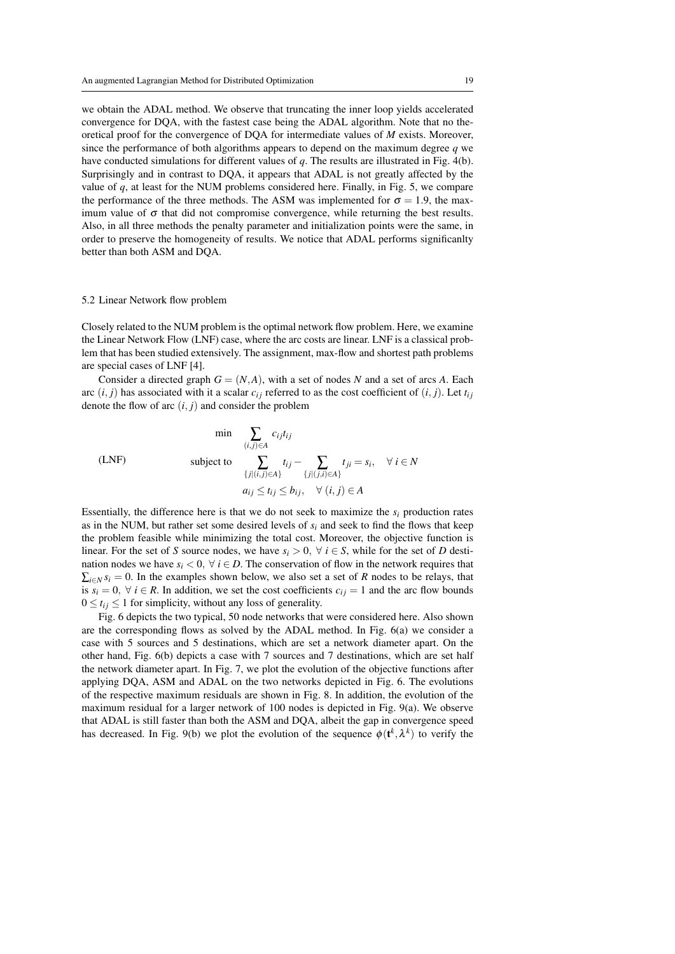we obtain the ADAL method. We observe that truncating the inner loop yields accelerated convergence for DQA, with the fastest case being the ADAL algorithm. Note that no theoretical proof for the convergence of DQA for intermediate values of *M* exists. Moreover, since the performance of both algorithms appears to depend on the maximum degree *q* we have conducted simulations for different values of *q*. The results are illustrated in Fig. 4(b). Surprisingly and in contrast to DQA, it appears that ADAL is not greatly affected by the value of  $q$ , at least for the NUM problems considered here. Finally, in Fig. 5, we compare the performance of the three methods. The ASM was implemented for  $\sigma = 1.9$ , the maximum value of  $\sigma$  that did not compromise convergence, while returning the best results. Also, in all three methods the penalty parameter and initialization points were the same, in order to preserve the homogeneity of results. We notice that ADAL performs significanlty better than both ASM and DQA.

#### 5.2 Linear Network flow problem

Closely related to the NUM problem is the optimal network flow problem. Here, we examine the Linear Network Flow (LNF) case, where the arc costs are linear. LNF is a classical problem that has been studied extensively. The assignment, max-flow and shortest path problems are special cases of LNF [4].

Consider a directed graph  $G = (N, A)$ , with a set of nodes N and a set of arcs A. Each arc  $(i, j)$  has associated with it a scalar  $c_{ij}$  referred to as the cost coefficient of  $(i, j)$ . Let  $t_{ij}$ denote the flow of arc  $(i, j)$  and consider the problem

$$
\begin{aligned}\n&\text{(LNF)}\\
&\text{(LNF)}\\
&\text{subject to} \\
&\sum_{\{j \mid (i,j) \in A\}} t_{ij} - \sum_{\{j \mid (j,i) \in A\}} t_{ji} = s_i, \quad \forall \, i \in N \\
&\quad a_{ij} \le t_{ij} \le b_{ij}, \quad \forall \, (i,j) \in A\n\end{aligned}
$$

Essentially, the difference here is that we do not seek to maximize the  $s_i$  production rates as in the NUM, but rather set some desired levels of  $s_i$  and seek to find the flows that keep the problem feasible while minimizing the total cost. Moreover, the objective function is linear. For the set of *S* source nodes, we have  $s_i > 0$ ,  $\forall i \in S$ , while for the set of *D* destination nodes we have  $s_i < 0$ ,  $\forall i \in D$ . The conservation of flow in the network requires that  $\sum_{i \in N} s_i = 0$ . In the examples shown below, we also set a set of *R* nodes to be relays, that is  $s_i = 0$ ,  $\forall i \in R$ . In addition, we set the cost coefficients  $c_{ij} = 1$  and the arc flow bounds  $0 \le t_{ij} \le 1$  for simplicity, without any loss of generality.

Fig. 6 depicts the two typical, 50 node networks that were considered here. Also shown are the corresponding flows as solved by the ADAL method. In Fig. 6(a) we consider a case with 5 sources and 5 destinations, which are set a network diameter apart. On the other hand, Fig. 6(b) depicts a case with 7 sources and 7 destinations, which are set half the network diameter apart. In Fig. 7, we plot the evolution of the objective functions after applying DQA, ASM and ADAL on the two networks depicted in Fig. 6. The evolutions of the respective maximum residuals are shown in Fig. 8. In addition, the evolution of the maximum residual for a larger network of 100 nodes is depicted in Fig. 9(a). We observe that ADAL is still faster than both the ASM and DQA, albeit the gap in convergence speed has decreased. In Fig. 9(b) we plot the evolution of the sequence  $\phi(\mathbf{t}^k, \lambda^k)$  to verify the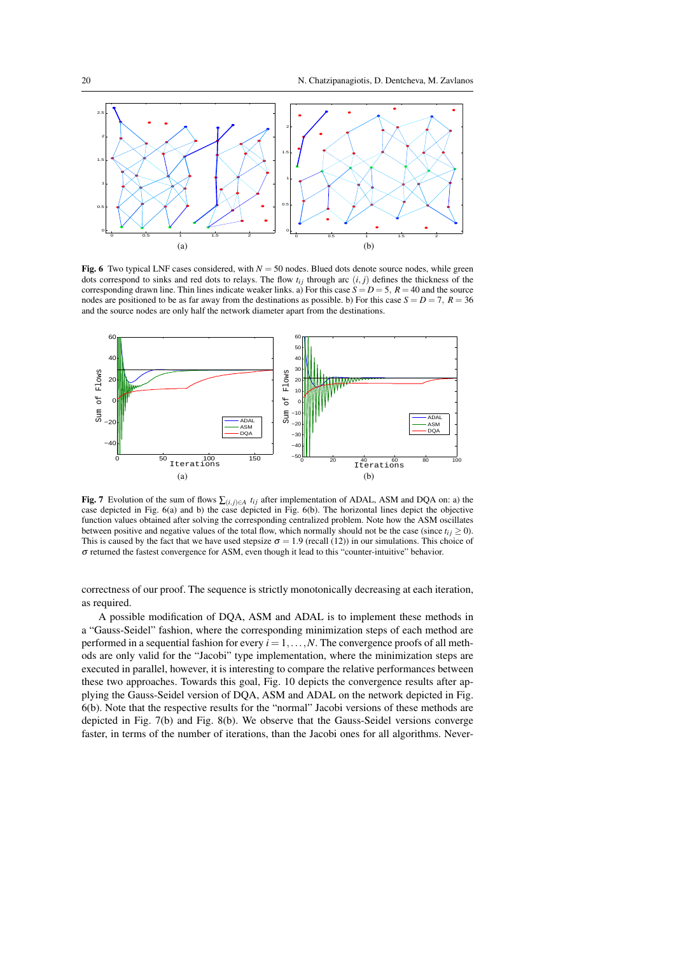

Fig. 6 Two typical LNF cases considered, with  $N = 50$  nodes. Blued dots denote source nodes, while green dots correspond to sinks and red dots to relays. The flow  $t_{ij}$  through arc  $(i, j)$  defines the thickness of the corresponding drawn line. Thin lines indicate weaker links. a) For this case  $S = D = 5$ ,  $R = 40$  and the source nodes are positioned to be as far away from the destinations as possible. b) For this case  $S = D = 7$ ,  $R = 36$ and the source nodes are only half the network diameter apart from the destinations.



Fig. 7 Evolution of the sum of flows  $\sum_{(i,j)\in A} t_{ij}$  after implementation of ADAL, ASM and DQA on: a) the case depicted in Fig. 6(a) and b) the case depicted in Fig. 6(b). The horizontal lines depict the objective function values obtained after solving the corresponding centralized problem. Note how the ASM oscillates between positive and negative values of the total flow, which normally should not be the case (since  $t_i$  *j*  $>$  0). This is caused by the fact that we have used stepsize  $\sigma = 1.9$  (recall (12)) in our simulations. This choice of σ returned the fastest convergence for ASM, even though it lead to this "counter-intuitive" behavior.

correctness of our proof. The sequence is strictly monotonically decreasing at each iteration, as required.

A possible modification of DQA, ASM and ADAL is to implement these methods in a "Gauss-Seidel" fashion, where the corresponding minimization steps of each method are performed in a sequential fashion for every  $i = 1, \ldots, N$ . The convergence proofs of all methods are only valid for the "Jacobi" type implementation, where the minimization steps are executed in parallel, however, it is interesting to compare the relative performances between these two approaches. Towards this goal, Fig. 10 depicts the convergence results after applying the Gauss-Seidel version of DQA, ASM and ADAL on the network depicted in Fig. 6(b). Note that the respective results for the "normal" Jacobi versions of these methods are depicted in Fig. 7(b) and Fig. 8(b). We observe that the Gauss-Seidel versions converge faster, in terms of the number of iterations, than the Jacobi ones for all algorithms. Never-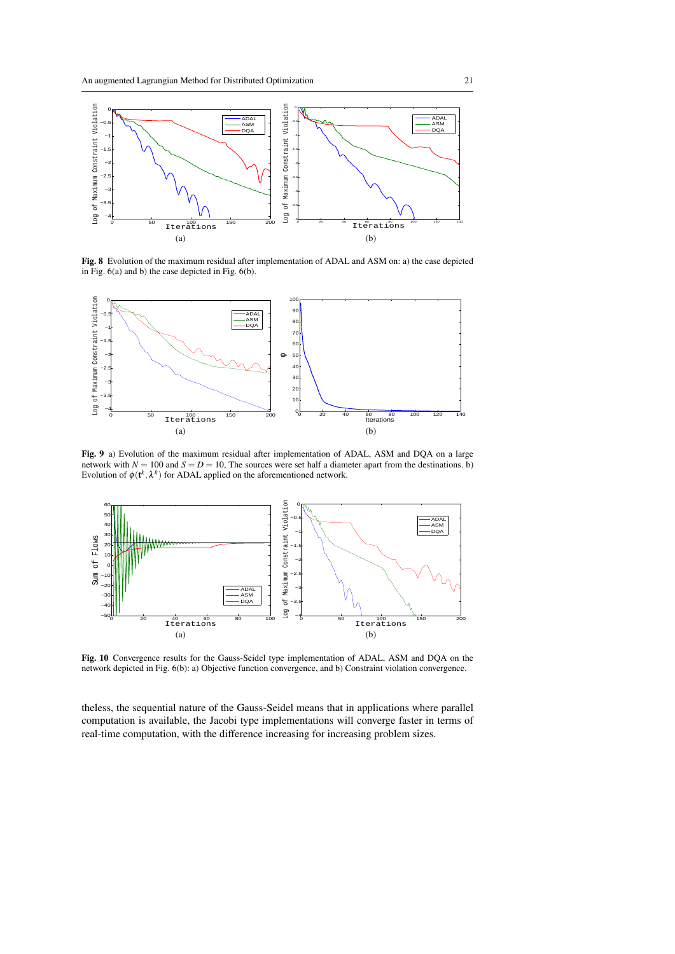

Fig. 8 Evolution of the maximum residual after implementation of ADAL and ASM on: a) the case depicted in Fig. 6(a) and b) the case depicted in Fig. 6(b).



Fig. 9 a) Evolution of the maximum residual after implementation of ADAL, ASM and DQA on a large network with  $N = 100$  and  $S = D = 10$ , The sources were set half a diameter apart from the destinations. b) Evolution of  $\phi(\mathbf{t}^k, \lambda^k)$  for ADAL applied on the aforementioned network.



Fig. 10 Convergence results for the Gauss-Seidel type implementation of ADAL, ASM and DQA on the network depicted in Fig. 6(b): a) Objective function convergence, and b) Constraint violation convergence.

theless, the sequential nature of the Gauss-Seidel means that in applications where parallel computation is available, the Jacobi type implementations will converge faster in terms of real-time computation, with the difference increasing for increasing problem sizes.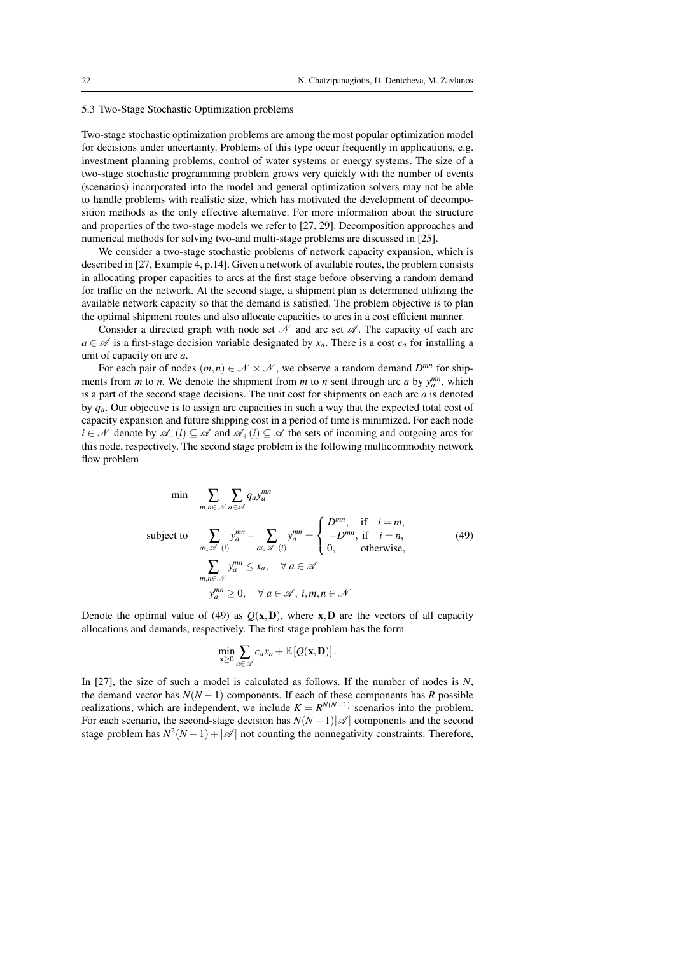#### 5.3 Two-Stage Stochastic Optimization problems

Two-stage stochastic optimization problems are among the most popular optimization model for decisions under uncertainty. Problems of this type occur frequently in applications, e.g. investment planning problems, control of water systems or energy systems. The size of a two-stage stochastic programming problem grows very quickly with the number of events (scenarios) incorporated into the model and general optimization solvers may not be able to handle problems with realistic size, which has motivated the development of decomposition methods as the only effective alternative. For more information about the structure and properties of the two-stage models we refer to [27, 29]. Decomposition approaches and numerical methods for solving two-and multi-stage problems are discussed in [25].

We consider a two-stage stochastic problems of network capacity expansion, which is described in [27, Example 4, p.14]. Given a network of available routes, the problem consists in allocating proper capacities to arcs at the first stage before observing a random demand for traffic on the network. At the second stage, a shipment plan is determined utilizing the available network capacity so that the demand is satisfied. The problem objective is to plan the optimal shipment routes and also allocate capacities to arcs in a cost efficient manner.

Consider a directed graph with node set  $\mathcal N$  and arc set  $\mathcal A$ . The capacity of each arc  $a \in \mathcal{A}$  is a first-stage decision variable designated by  $x_a$ . There is a cost  $c_a$  for installing a unit of capacity on arc *a*.

For each pair of nodes  $(m, n) \in \mathcal{N} \times \mathcal{N}$ , we observe a random demand  $D^{mn}$  for shipments from *m* to *n*. We denote the shipment from *m* to *n* sent through arc *a* by  $y_a^{mn}$ , which is a part of the second stage decisions. The unit cost for shipments on each arc *a* is denoted by *qa*. Our objective is to assign arc capacities in such a way that the expected total cost of capacity expansion and future shipping cost in a period of time is minimized. For each node *i* ∈ N denote by  $\mathscr{A}$ <sub>−</sub>(*i*) ⊆  $\mathscr A$  and  $\mathscr A$ <sub>+</sub>(*i*) ⊆  $\mathscr A$  the sets of incoming and outgoing arcs for this node, respectively. The second stage problem is the following multicommodity network flow problem

$$
\min \sum_{m,n \in \mathcal{N}} \sum_{a \in \mathcal{A}} q_a y_a^{mn}
$$
\n
$$
\text{subject to } \sum_{a \in \mathcal{A}_+(i)} y_a^{mn} - \sum_{a \in \mathcal{A}_-(i)} y_a^{mn} = \begin{cases} D^{mn}, & \text{if } i = m, \\ -D^{mn}, & \text{if } i = n, \\ 0, & \text{otherwise,} \end{cases} \tag{49}
$$
\n
$$
\sum_{\substack{m,n \in \mathcal{N}} \ y_a^{mn} \le x_a, \quad \forall a \in \mathcal{A}
$$
\n
$$
y_a^{mn} \ge 0, \quad \forall a \in \mathcal{A}, \ i, m, n \in \mathcal{N}
$$

Denote the optimal value of (49) as  $Q(x, D)$ , where x,D are the vectors of all capacity allocations and demands, respectively. The first stage problem has the form

$$
\min_{\mathbf{x}\geq 0}\sum_{a\in\mathscr{A}}c_ax_a+\mathbb{E}\left[Q(\mathbf{x},\mathbf{D})\right].
$$

In [27], the size of such a model is calculated as follows. If the number of nodes is *N*, the demand vector has  $N(N-1)$  components. If each of these components has *R* possible realizations, which are independent, we include  $K = R^{N(N-1)}$  scenarios into the problem. For each scenario, the second-stage decision has  $N(N-1)|\mathcal{A}|$  components and the second stage problem has  $N^2(N-1) + |\mathcal{A}|$  not counting the nonnegativity constraints. Therefore,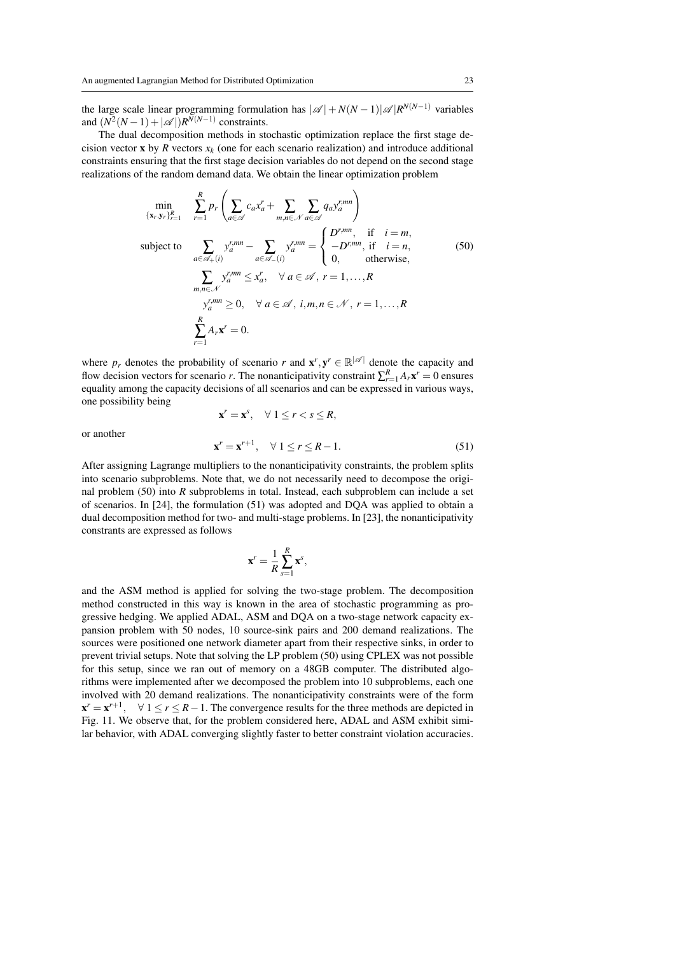the large scale linear programming formulation has  $|\mathscr{A}| + N(N-1)|\mathscr{A}|R^{N(N-1)}$  variables and  $(N^2(N-1) + |\mathcal{A}|)R^{N(N-1)}$  constraints.

The dual decomposition methods in stochastic optimization replace the first stage decision vector **x** by *R* vectors  $x_k$  (one for each scenario realization) and introduce additional constraints ensuring that the first stage decision variables do not depend on the second stage realizations of the random demand data. We obtain the linear optimization problem

$$
\min_{\{x_r, y_r\}_{r=1}^R} \sum_{r=1}^R p_r \left( \sum_{a \in \mathscr{A}} c_a x_a^r + \sum_{m,n \in \mathscr{N}} \sum_{a \in \mathscr{A}} q_a y_a^{r,mn} \right)
$$
\nsubject to\n
$$
\sum_{a \in \mathscr{A}_+(i)} y_a^{r,mn} - \sum_{a \in \mathscr{A}_-(i)} y_a^{r,mn} = \begin{cases} D^{r,mn}, & \text{if } i = m, \\ -D^{r,mn}, & \text{if } i = n, \\ 0, & \text{otherwise,} \end{cases}
$$
\n
$$
\sum_{m,n \in \mathscr{N}} y_a^{r,mn} \le x_a^r, \quad \forall a \in \mathscr{A}, r = 1, ..., R
$$
\n
$$
y_a^{r,mn} \ge 0, \quad \forall a \in \mathscr{A}, i, m, n \in \mathscr{N}, r = 1, ..., R
$$
\n
$$
\sum_{r=1}^R A_r x^r = 0.
$$
\n(50)

where  $p_r$  denotes the probability of scenario *r* and  $\mathbf{x}^r, \mathbf{y}^r \in \mathbb{R}^{|\mathcal{A}|}$  denote the capacity and flow decision vectors for scenario *r*. The nonanticipativity constraint  $\sum_{r=1}^{R} A_r \mathbf{x}^r = 0$  ensures equality among the capacity decisions of all scenarios and can be expressed in various ways, one possibility being

or another

$$
\mathbf{x}^r = \mathbf{x}^s, \quad \forall \ 1 \leq r < s \leq R,
$$

$$
\mathbf{x}^r = \mathbf{x}^{r+1}, \quad \forall \ 1 \le r \le R-1. \tag{51}
$$

After assigning Lagrange multipliers to the nonanticipativity constraints, the problem splits into scenario subproblems. Note that, we do not necessarily need to decompose the original problem (50) into *R* subproblems in total. Instead, each subproblem can include a set of scenarios. In [24], the formulation (51) was adopted and DQA was applied to obtain a dual decomposition method for two- and multi-stage problems. In [23], the nonanticipativity constrants are expressed as follows

$$
\mathbf{x}^r = \frac{1}{R} \sum_{s=1}^R \mathbf{x}^s,
$$

and the ASM method is applied for solving the two-stage problem. The decomposition method constructed in this way is known in the area of stochastic programming as progressive hedging. We applied ADAL, ASM and DQA on a two-stage network capacity expansion problem with 50 nodes, 10 source-sink pairs and 200 demand realizations. The sources were positioned one network diameter apart from their respective sinks, in order to prevent trivial setups. Note that solving the LP problem (50) using CPLEX was not possible for this setup, since we ran out of memory on a 48GB computer. The distributed algorithms were implemented after we decomposed the problem into 10 subproblems, each one involved with 20 demand realizations. The nonanticipativity constraints were of the form  $x^r = x^{r+1}$ ,  $\forall$  1  $\leq$  *r*  $\leq$  *R* − 1. The convergence results for the three methods are depicted in Fig. 11. We observe that, for the problem considered here, ADAL and ASM exhibit similar behavior, with ADAL converging slightly faster to better constraint violation accuracies.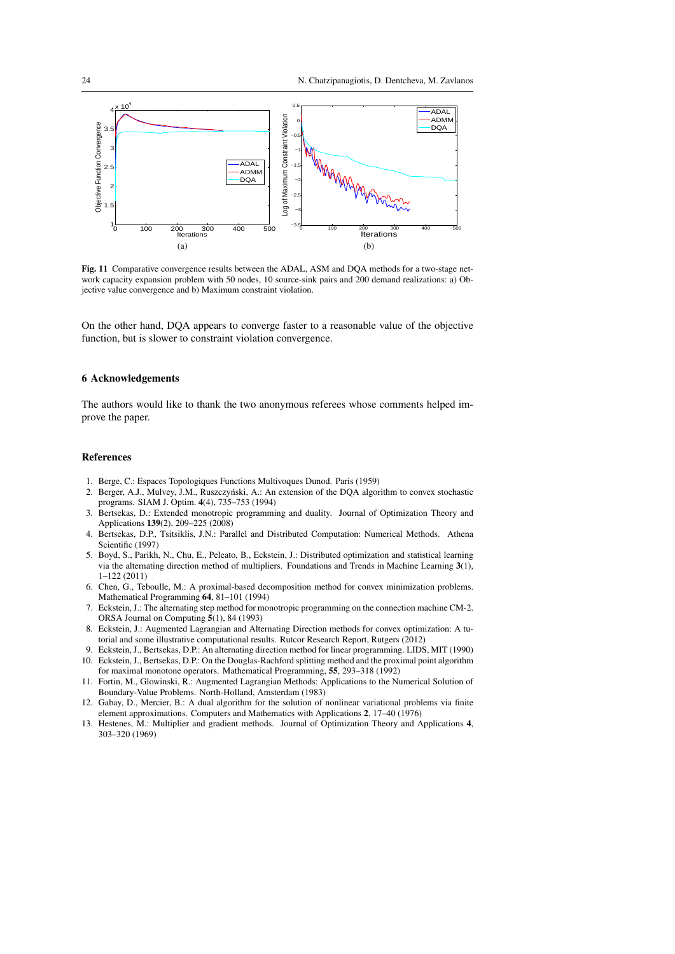

Fig. 11 Comparative convergence results between the ADAL, ASM and DQA methods for a two-stage network capacity expansion problem with 50 nodes, 10 source-sink pairs and 200 demand realizations: a) Objective value convergence and b) Maximum constraint violation.

On the other hand, DQA appears to converge faster to a reasonable value of the objective function, but is slower to constraint violation convergence.

## 6 Acknowledgements

The authors would like to thank the two anonymous referees whose comments helped improve the paper.

## References

- 1. Berge, C.: Espaces Topologiques Functions Multivoques Dunod. Paris (1959)
- 2. Berger, A.J., Mulvey, J.M., Ruszczyński, A.: An extension of the DQA algorithm to convex stochastic programs. SIAM J. Optim. 4(4), 735–753 (1994)
- 3. Bertsekas, D.: Extended monotropic programming and duality. Journal of Optimization Theory and Applications 139(2), 209–225 (2008)
- 4. Bertsekas, D.P., Tsitsiklis, J.N.: Parallel and Distributed Computation: Numerical Methods. Athena Scientific (1997)
- 5. Boyd, S., Parikh, N., Chu, E., Peleato, B., Eckstein, J.: Distributed optimization and statistical learning via the alternating direction method of multipliers. Foundations and Trends in Machine Learning 3(1), 1–122 (2011)
- 6. Chen, G., Teboulle, M.: A proximal-based decomposition method for convex minimization problems. Mathematical Programming 64, 81–101 (1994)
- 7. Eckstein, J.: The alternating step method for monotropic programming on the connection machine CM-2. ORSA Journal on Computing 5(1), 84 (1993)
- 8. Eckstein, J.: Augmented Lagrangian and Alternating Direction methods for convex optimization: A tutorial and some illustrative computational results. Rutcor Research Report, Rutgers (2012)
- 9. Eckstein, J., Bertsekas, D.P.: An alternating direction method for linear programming. LIDS, MIT (1990) 10. Eckstein, J., Bertsekas, D.P.: On the Douglas-Rachford splitting method and the proximal point algorithm for maximal monotone operators. Mathematical Programming, 55, 293–318 (1992)
- 11. Fortin, M., Glowinski, R.: Augmented Lagrangian Methods: Applications to the Numerical Solution of Boundary-Value Problems. North-Holland, Amsterdam (1983)
- 12. Gabay, D., Mercier, B.: A dual algorithm for the solution of nonlinear variational problems via finite element approximations. Computers and Mathematics with Applications 2, 17–40 (1976)
- 13. Hestenes, M.: Multiplier and gradient methods. Journal of Optimization Theory and Applications 4, 303–320 (1969)